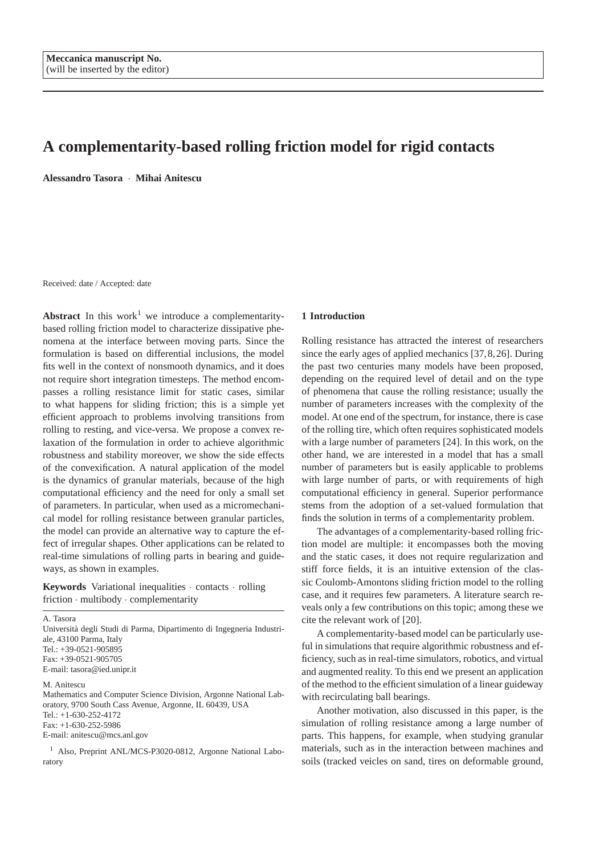# **A complementarity-based rolling friction model for rigid contacts**

**Alessandro Tasora** · **Mihai Anitescu**

Received: date / Accepted: date

**Abstract** In this work<sup>1</sup> we introduce a complementaritybased rolling friction model to characterize dissipative phenomena at the interface between moving parts. Since the formulation is based on differential inclusions, the model fits well in the context of nonsmooth dynamics, and it does not require short integration timesteps. The method encompasses a rolling resistance limit for static cases, similar to what happens for sliding friction; this is a simple yet efficient approach to problems involving transitions from rolling to resting, and vice-versa. We propose a convex relaxation of the formulation in order to achieve algorithmic robustness and stability moreover, we show the side effects of the convexification. A natural application of the model is the dynamics of granular materials, because of the high computational efficiency and the need for only a small set of parameters. In particular, when used as a micromechanical model for rolling resistance between granular particles, the model can provide an alternative way to capture the effect of irregular shapes. Other applications can be related to real-time simulations of rolling parts in bearing and guideways, as shown in examples.

**Keywords** Variational inequalities · contacts · rolling friction · multibody · complementarity

A. Tasora Universita degli Studi di Parma, Dipartimento di Ingegneria Industri- ` ale, 43100 Parma, Italy Tel.: +39-0521-905895  $Fax: +39-0521-905705$ E-mail: tasora@ied.unipr.it

M. Anitescu

Mathematics and Computer Science Division, Argonne National Laboratory, 9700 South Cass Avenue, Argonne, IL 60439, USA Tel.: +1-630-252-4172 Fax: +1-630-252-5986 E-mail: anitescu@mcs.anl.gov

<sup>1</sup> Also, Preprint ANL/MCS-P3020-0812, Argonne National Laboratory

#### **1 Introduction**

Rolling resistance has attracted the interest of researchers since the early ages of applied mechanics [37,8,26]. During the past two centuries many models have been proposed, depending on the required level of detail and on the type of phenomena that cause the rolling resistance; usually the number of parameters increases with the complexity of the model. At one end of the spectrum, for instance, there is case of the rolling tire, which often requires sophisticated models with a large number of parameters [24]. In this work, on the other hand, we are interested in a model that has a small number of parameters but is easily applicable to problems with large number of parts, or with requirements of high computational efficiency in general. Superior performance stems from the adoption of a set-valued formulation that finds the solution in terms of a complementarity problem.

The advantages of a complementarity-based rolling friction model are multiple: it encompasses both the moving and the static cases, it does not require regularization and stiff force fields, it is an intuitive extension of the classic Coulomb-Amontons sliding friction model to the rolling case, and it requires few parameters. A literature search reveals only a few contributions on this topic; among these we cite the relevant work of [20].

A complementarity-based model can be particularly useful in simulations that require algorithmic robustness and efficiency, such as in real-time simulators, robotics, and virtual and augmented reality. To this end we present an application of the method to the efficient simulation of a linear guideway with recirculating ball bearings.

Another motivation, also discussed in this paper, is the simulation of rolling resistance among a large number of parts. This happens, for example, when studying granular materials, such as in the interaction between machines and soils (tracked veicles on sand, tires on deformable ground,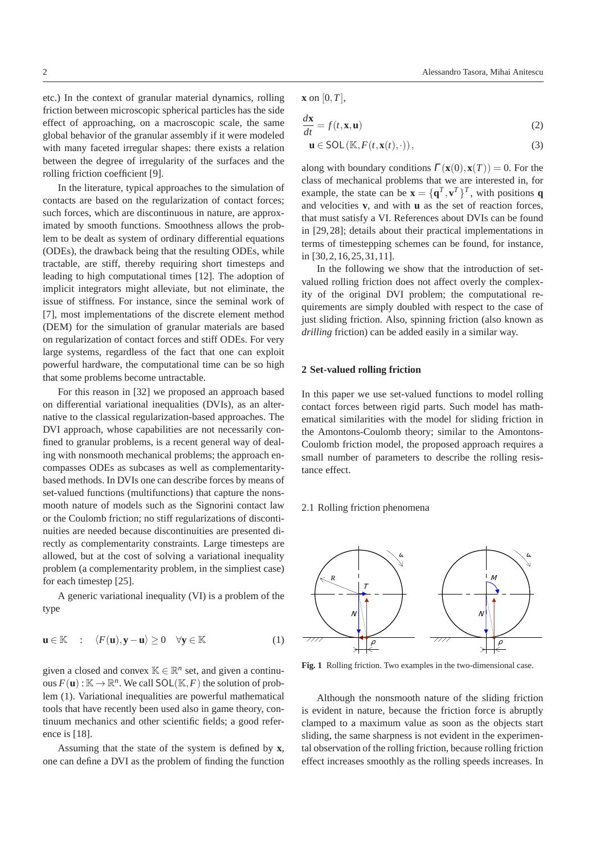etc.) In the context of granular material dynamics, rolling friction between microscopic spherical particles has the side effect of approaching, on a macroscopic scale, the same global behavior of the granular assembly if it were modeled with many faceted irregular shapes: there exists a relation between the degree of irregularity of the surfaces and the rolling friction coefficient [9].

In the literature, typical approaches to the simulation of contacts are based on the regularization of contact forces; such forces, which are discontinuous in nature, are approximated by smooth functions. Smoothness allows the problem to be dealt as system of ordinary differential equations (ODEs), the drawback being that the resulting ODEs, while tractable, are stiff, thereby requiring short timesteps and leading to high computational times [12]. The adoption of implicit integrators might alleviate, but not eliminate, the issue of stiffness. For instance, since the seminal work of [7], most implementations of the discrete element method (DEM) for the simulation of granular materials are based on regularization of contact forces and stiff ODEs. For very large systems, regardless of the fact that one can exploit powerful hardware, the computational time can be so high that some problems become untractable.

For this reason in [32] we proposed an approach based on differential variational inequalities (DVIs), as an alternative to the classical regularization-based approaches. The DVI approach, whose capabilities are not necessarily confined to granular problems, is a recent general way of dealing with nonsmooth mechanical problems; the approach encompasses ODEs as subcases as well as complementaritybased methods. In DVIs one can describe forces by means of set-valued functions (multifunctions) that capture the nonsmooth nature of models such as the Signorini contact law or the Coulomb friction; no stiff regularizations of discontinuities are needed because discontinuities are presented directly as complementarity constraints. Large timesteps are allowed, but at the cost of solving a variational inequality problem (a complementarity problem, in the simpliest case) for each timestep [25].

A generic variational inequality (VI) is a problem of the type

$$
\mathbf{u} \in \mathbb{K} \quad : \quad \langle F(\mathbf{u}), \mathbf{y} - \mathbf{u} \rangle \ge 0 \quad \forall \mathbf{y} \in \mathbb{K} \tag{1}
$$

given a closed and convex  $\mathbb{K} \in \mathbb{R}^n$  set, and given a continuous  $F(\mathbf{u}): \mathbb{K} \to \mathbb{R}^n$ . We call  $SOL(\mathbb{K}, F)$  the solution of problem (1). Variational inequalities are powerful mathematical tools that have recently been used also in game theory, continuum mechanics and other scientific fields; a good reference is [18].

Assuming that the state of the system is defined by **x**, one can define a DVI as the problem of finding the function

$$
\mathbf{x} \text{ on } [0, T],
$$

$$
\frac{d\mathbf{x}}{dt} = f(t, \mathbf{x}, \mathbf{u})\tag{2}
$$

$$
\mathbf{u} \in SOL\left(\mathbb{K}, F(t, \mathbf{x}(t), \cdot)\right),\tag{3}
$$

along with boundary conditions  $\Gamma(\mathbf{x}(0), \mathbf{x}(T)) = 0$ . For the class of mechanical problems that we are interested in, for example, the state can be  $\mathbf{x} = {\mathbf{q}^T, \mathbf{v}^T}^T$ , with positions **q** and velocities **v**, and with **u** as the set of reaction forces, that must satisfy a VI. References about DVIs can be found in [29,28]; details about their practical implementations in terms of timestepping schemes can be found, for instance, in [30,2,16,25,31,11].

In the following we show that the introduction of setvalued rolling friction does not affect overly the complexity of the original DVI problem; the computational requirements are simply doubled with respect to the case of just sliding friction. Also, spinning friction (also known as *drilling* friction) can be added easily in a similar way.

#### **2 Set-valued rolling friction**

In this paper we use set-valued functions to model rolling contact forces between rigid parts. Such model has mathematical similarities with the model for sliding friction in the Amontons-Coulomb theory; similar to the Amontons-Coulomb friction model, the proposed approach requires a small number of parameters to describe the rolling resistance effect.

# 2.1 Rolling friction phenomena



**Fig. 1** Rolling friction. Two examples in the two-dimensional case.

Although the nonsmooth nature of the sliding friction is evident in nature, because the friction force is abruptly clamped to a maximum value as soon as the objects start sliding, the same sharpness is not evident in the experimental observation of the rolling friction, because rolling friction effect increases smoothly as the rolling speeds increases. In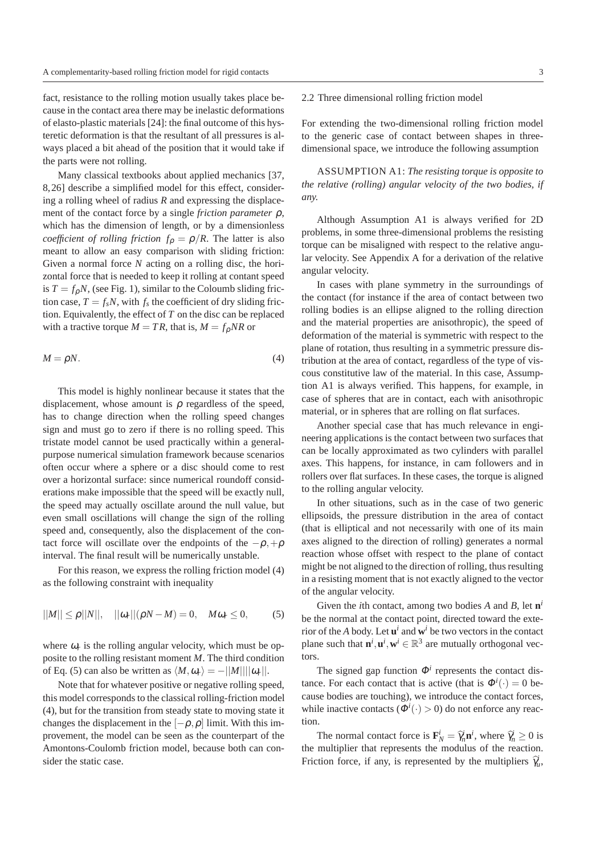fact, resistance to the rolling motion usually takes place because in the contact area there may be inelastic deformations of elasto-plastic materials [24]: the final outcome of this hysteretic deformation is that the resultant of all pressures is always placed a bit ahead of the position that it would take if the parts were not rolling.

Many classical textbooks about applied mechanics [37, 8,26] describe a simplified model for this effect, considering a rolling wheel of radius *R* and expressing the displacement of the contact force by a single *friction parameter* ρ, which has the dimension of length, or by a dimensionless *coefficient of rolling friction*  $f_p = \rho/R$ . The latter is also meant to allow an easy comparison with sliding friction: Given a normal force *N* acting on a rolling disc, the horizontal force that is needed to keep it rolling at contant speed is  $T = f_{\rho}N$ , (see Fig. 1), similar to the Coloumb sliding friction case,  $T = f_s N$ , with  $f_s$  the coefficient of dry sliding friction. Equivalently, the effect of *T* on the disc can be replaced with a tractive torque  $M = TR$ , that is,  $M = f_p NR$  or

$$
M = \rho N. \tag{4}
$$

This model is highly nonlinear because it states that the displacement, whose amount is  $\rho$  regardless of the speed, has to change direction when the rolling speed changes sign and must go to zero if there is no rolling speed. This tristate model cannot be used practically within a generalpurpose numerical simulation framework because scenarios often occur where a sphere or a disc should come to rest over a horizontal surface: since numerical roundoff considerations make impossible that the speed will be exactly null, the speed may actually oscillate around the null value, but even small oscillations will change the sign of the rolling speed and, consequently, also the displacement of the contact force will oscillate over the endpoints of the  $-\rho, +\rho$ interval. The final result will be numerically unstable.

For this reason, we express the rolling friction model (4) as the following constraint with inequality

$$
||M|| \le \rho ||N||, \quad ||\omega_r||(\rho N - M) = 0, \quad M\omega_r \le 0,
$$
 (5)

where  $\omega_r$  is the rolling angular velocity, which must be opposite to the rolling resistant moment *M*. The third condition of Eq. (5) can also be written as  $\langle M, \omega_r \rangle = -||M|| ||\omega_r||$ .

Note that for whatever positive or negative rolling speed, this model corresponds to the classical rolling-friction model (4), but for the transition from steady state to moving state it changes the displacement in the  $[-\rho, \rho]$  limit. With this improvement, the model can be seen as the counterpart of the Amontons-Coulomb friction model, because both can consider the static case.

# 2.2 Three dimensional rolling friction model

For extending the two-dimensional rolling friction model to the generic case of contact between shapes in threedimensional space, we introduce the following assumption

ASSUMPTION A1: *The resisting torque is opposite to the relative (rolling) angular velocity of the two bodies, if any.*

Although Assumption A1 is always verified for 2D problems, in some three-dimensional problems the resisting torque can be misaligned with respect to the relative angular velocity. See Appendix A for a derivation of the relative angular velocity.

In cases with plane symmetry in the surroundings of the contact (for instance if the area of contact between two rolling bodies is an ellipse aligned to the rolling direction and the material properties are anisothropic), the speed of deformation of the material is symmetric with respect to the plane of rotation, thus resulting in a symmetric pressure distribution at the area of contact, regardless of the type of viscous constitutive law of the material. In this case, Assumption A1 is always verified. This happens, for example, in case of spheres that are in contact, each with anisothropic material, or in spheres that are rolling on flat surfaces.

Another special case that has much relevance in engineering applications is the contact between two surfaces that can be locally approximated as two cylinders with parallel axes. This happens, for instance, in cam followers and in rollers over flat surfaces. In these cases, the torque is aligned to the rolling angular velocity.

In other situations, such as in the case of two generic ellipsoids, the pressure distribution in the area of contact (that is elliptical and not necessarily with one of its main axes aligned to the direction of rolling) generates a normal reaction whose offset with respect to the plane of contact might be not aligned to the direction of rolling, thus resulting in a resisting moment that is not exactly aligned to the vector of the angular velocity.

Given the *i*th contact, among two bodies *A* and *B*, let **n** *i* be the normal at the contact point, directed toward the exterior of the *A* body. Let  $\mathbf{u}^i$  and  $\mathbf{w}^i$  be two vectors in the contact plane such that  $\mathbf{n}^i, \mathbf{u}^i, \mathbf{w}^i \in \mathbb{R}^3$  are mutually orthogonal vectors.

The signed gap function  $\Phi^i$  represents the contact distance. For each contact that is active (that is  $\Phi^i(\cdot) = 0$  because bodies are touching), we introduce the contact forces, while inactive contacts ( $\Phi^i(\cdot) > 0$ ) do not enforce any reaction.

The normal contact force is  $\mathbf{F}_N^i = \hat{\gamma}_n^i \mathbf{n}^i$ , where  $\hat{\gamma}_n^i \ge 0$  is the multiplier that represents the modulus of the reaction. Friction force, if any, is represented by the multipliers  $\hat{\gamma}_u^i$ ,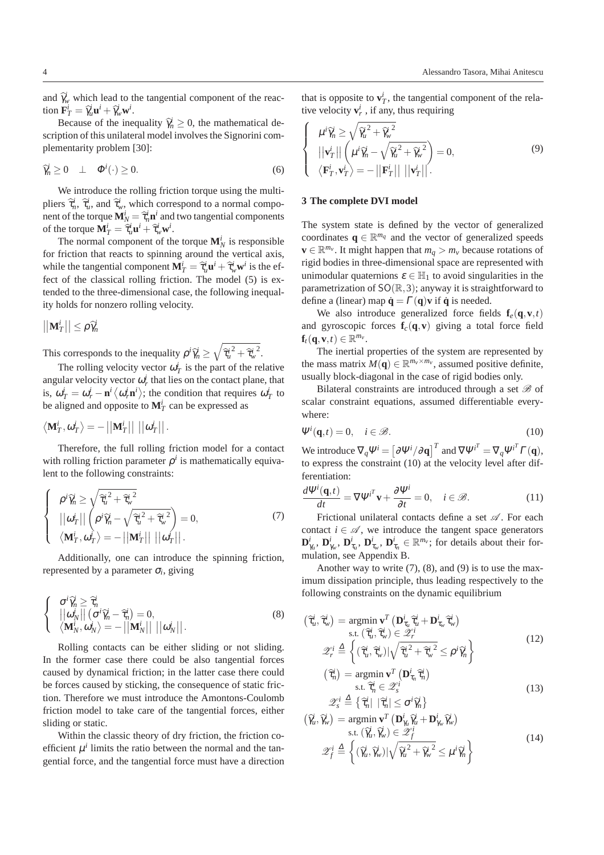and  $\hat{\gamma}_w^i$  which lead to the tangential component of the reaction  $\mathbf{F}_T^i = \hat{\gamma}_u^i \mathbf{u}^i + \hat{\gamma}_w^i \mathbf{w}^i$ .

Because of the inequality  $\hat{\gamma}_n^i \geq 0$ , the mathematical description of this unilateral model involves the Signorini complementarity problem [30]:

$$
\widehat{\gamma}_n^i \ge 0 \quad \perp \quad \Phi^i(\cdot) \ge 0. \tag{6}
$$

We introduce the rolling friction torque using the multipliers  $\hat{\tau}_n^i$ ,  $\hat{\tau}_u^i$ , and  $\hat{\tau}_w^i$ , which correspond to a normal component of the torque  $\mathbf{M}_N^i = \hat{\tau}_n^i \mathbf{n}^i$  and two tangential components of the torque  $\mathbf{M}_T^i = \hat{\tau}_u^i \mathbf{u}^i + \hat{\tau}_w^i \mathbf{w}^i$ .

The normal component of the torque  $\mathbf{M}_N^i$  is responsible for friction that reacts to spinning around the vertical axis, while the tangential component  $\mathbf{M}_T^i = \hat{\tau}_u^i \mathbf{u}^i + \hat{\tau}_w^i \mathbf{w}^i$  is the effect of the classical rolling friction. The model (5) is extended to the three-dimensional case, the following inequality holds for nonzero rolling velocity.

$$
\left|\left|\mathbf{M}_T^i\right|\right|\leq \rho\,\widehat{\gamma}_n^i
$$

This corresponds to the inequality  $\rho^i \hat{\gamma}_n^i \ge \sqrt{\hat{\tau}_u^i{}^2 + \hat{\tau}_w^i{}^2}$ .

The rolling velocity vector  $\omega_T^i$  is the part of the relative angular velocity vector  $\omega_r^i$  that lies on the contact plane, that is,  $\omega_T^i = \omega_r^i - \mathbf{n}^i \langle \omega_r^i \mathbf{n}^i \rangle$ ; the condition that requires  $\omega_T^i$  to be aligned and opposite to  $\mathbf{M}_T^i$  can be expressed as

$$
\left\langle \mathbf{M}_T^i, \omega_T^i \right\rangle = -\left|\left|\mathbf{M}_T^i\right|\right| \, \left|\left|\omega_T^i\right|\right|.
$$

Therefore, the full rolling friction model for a contact with rolling friction parameter  $\rho^i$  is mathematically equivalent to the following constraints:

$$
\begin{cases}\n\rho^{i}\hat{\gamma}_{n}^{i} \geq \sqrt{\hat{\tau}_{u}^{i^{2}} + \hat{\tau}_{w}^{i^{2}}}\n\\ \n||\omega_{T}^{i}||\n\rho^{i}\hat{\gamma}_{n}^{i} - \sqrt{\hat{\tau}_{u}^{i^{2}} + \hat{\tau}_{w}^{i^{2}}}\n\\ \n\langle \mathbf{M}_{T}^{i}, \omega_{T}^{i} \rangle = -||\mathbf{M}_{T}^{i}|| \,||\omega_{T}^{i}||.\n\end{cases} (7)
$$

Additionally, one can introduce the spinning friction, represented by a parameter  $\sigma_i$ , giving

$$
\begin{cases}\n\sigma^{i}\hat{\gamma}_{n}^{i} \geq \hat{\tau}_{n}^{i} \\
\|\omega_{N}^{i}\| \left(\sigma^{i}\hat{\gamma}_{n}^{i} - \hat{\tau}_{n}^{i}\right) = 0, \\
\langle \mathbf{M}_{N}^{i}, \omega_{N}^{i} \rangle = -\left|\left|\mathbf{M}_{N}^{i}\right|\right| \left|\left|\omega_{N}^{i}\right|\right|.\n\end{cases}
$$
\n(8)

Rolling contacts can be either sliding or not sliding. In the former case there could be also tangential forces caused by dynamical friction; in the latter case there could be forces caused by sticking, the consequence of static friction. Therefore we must introduce the Amontons-Coulomb friction model to take care of the tangential forces, either sliding or static.

Within the classic theory of dry friction, the friction coefficient  $\mu^i$  limits the ratio between the normal and the tangential force, and the tangential force must have a direction that is opposite to  $\mathbf{v}_T^i$ , the tangential component of the relative velocity  $\mathbf{v}_r^i$ , if any, thus requiring

$$
\begin{cases}\n\mu^{i}\hat{\gamma}_{n}^{i} \geq \sqrt{\hat{\gamma}_{u}^{i^{2}} + \hat{\gamma}_{w}^{i^{2}}}\n\\ |\mathbf{v}_{T}^{i}| |\left(\mu^{i}\hat{\gamma}_{n}^{i} - \sqrt{\hat{\gamma}_{u}^{i^{2}} + \hat{\gamma}_{w}^{i^{2}}}\right) = 0, \\
\langle \mathbf{F}_{T}^{i}, \mathbf{v}_{T}^{i} \rangle = -||\mathbf{F}_{T}^{i}|| ||\mathbf{v}_{T}^{i}||.\n\end{cases}
$$
\n(9)

#### **3 The complete DVI model**

The system state is defined by the vector of generalized coordinates  $q \in \mathbb{R}^{m_q}$  and the vector of generalized speeds **v** ∈  $\mathbb{R}^{m_v}$ . It might happen that  $m_q > m_v$  because rotations of rigid bodies in three-dimensional space are represented with unimodular quaternions  $\varepsilon \in \mathbb{H}_1$  to avoid singularities in the parametrization of  $SO(\mathbb{R},3)$ ; anyway it is straightforward to define a (linear) map  $\dot{\mathbf{q}} = \Gamma(\mathbf{q})\mathbf{v}$  if  $\dot{\mathbf{q}}$  is needed.

We also introduce generalized force fields  $f_e(q, v, t)$ and gyroscopic forces  $f_c(q, v)$  giving a total force field  $\mathbf{f}_t(\mathbf{q}, \mathbf{v}, t) \in \mathbb{R}^{m_v}$ .

The inertial properties of the system are represented by the mass matrix  $M(\mathbf{q}) \in \mathbb{R}^{m_v \times m_v}$ , assumed positive definite, usually block-diagonal in the case of rigid bodies only.

Bilateral constraints are introduced through a set  $\mathscr B$  of scalar constraint equations, assumed differentiable everywhere:

$$
\Psi^{i}(\mathbf{q},t) = 0, \quad i \in \mathcal{B}.\tag{10}
$$

We introduce  $\nabla_q \Psi^i = \left[ \partial \Psi^i / \partial \mathbf{q} \right]^T$  and  $\nabla \Psi^{i^T} = \nabla_q \Psi^{i^T} \Gamma(\mathbf{q}),$ to express the constraint (10) at the velocity level after differentiation:

$$
\frac{d\Psi^{i}(\mathbf{q},t)}{dt} = \nabla\Psi^{i^{T}}\mathbf{v} + \frac{\partial\Psi^{i}}{\partial t} = 0, \quad i \in \mathcal{B}.
$$
 (11)

Frictional unilateral contacts define a set  $\mathscr A$ . For each contact  $i \in \mathcal{A}$ , we introduce the tangent space generators  $\mathbf{D}_{\gamma_u}^i$ ,  $\mathbf{D}_{\gamma_w}^i$ ,  $\mathbf{D}_{\tau_u}^i$ ,  $\mathbf{D}_{\tau_u}^i \in \mathbb{R}^{m_v}$ ; for details about their formulation, see Appendix B.

Another way to write  $(7)$ ,  $(8)$ , and  $(9)$  is to use the maximum dissipation principle, thus leading respectively to the following constraints on the dynamic equilibrium

$$
\begin{aligned}\n(\widehat{\tau}_{u}^{i}, \widehat{\tau}_{w}^{i}) &= \underset{\text{s.t.}}{\operatorname{argmin}} \mathbf{v}^{T} \left( \mathbf{D}_{\tau_{u}}^{i} \widehat{\tau}_{u}^{i} + \mathbf{D}_{\tau_{w}}^{i} \widehat{\tau}_{w}^{i} \right) \\
& \text{s.t.} \left( \widehat{\tau}_{u}^{i}, \widehat{\tau}_{w}^{i} \right) \in \mathcal{Z}_{r}^{i} \\
\mathcal{Z}_{r}^{i} &\stackrel{\Delta}{=} \left\{ \left( \widehat{\tau}_{u}^{i}, \widehat{\tau}_{w}^{i} \right) | \sqrt{\widehat{\tau}_{u}^{i^{2}} + \widehat{\tau}_{w}^{i^{2}}} \leq \rho^{i} \widehat{\gamma}_{n}^{i} \right\}\n\end{aligned} \tag{12}
$$

$$
\begin{aligned}\n\left(\widehat{\tau}_{n}^{i}\right) &= \operatorname*{argmin}_{\mathbf{s}, \mathbf{t}} \mathbf{v}^{T} \left(\mathbf{D}_{\tau_{n}}^{i} \widehat{\tau}_{n}^{i}\right) \\
&\text{s.t. } \widehat{\tau}_{n}^{i} \in \mathcal{Z}_{s}^{i} \\
&\stackrel{\text{def}}{\longrightarrow} \left(\widehat{\tau}_{n}^{i} \mid \widehat{\tau}_{n}^{i}\right) \\
&\stackrel{\text{def}}{\longrightarrow} \left(\widehat{\tau}_{n}^{i}\right)\n\end{aligned} \tag{13}
$$

$$
\mathscr{Z}_{s}^{i} \stackrel{\Delta}{=} \left\{ \widehat{\tau}_{n}^{i} \mid \widehat{\tau}_{n}^{i} \leq \sigma^{i} \widehat{\gamma}_{n}^{i} \right\}
$$
\n
$$
(\widehat{\gamma}_{u}^{i}, \widehat{\gamma}_{w}^{i}) = \operatorname*{argmin}_{\mathbf{v}} \mathbf{v}^{T} \left( \mathbf{D}_{\gamma_{u}}^{i} \widehat{\gamma}_{u}^{i} + \mathbf{D}_{\gamma_{w}}^{i} \widehat{\gamma}_{w}^{i} \right)
$$
\n
$$
\text{s.t.} \left( \widehat{\gamma}_{u}^{i}, \widehat{\gamma}_{w}^{i} \right) \in \mathscr{Z}_{f}^{i}
$$
\n
$$
\mathscr{Z}_{f}^{i} \stackrel{\Delta}{=} \left\{ \left( \widehat{\gamma}_{u}^{i}, \widehat{\gamma}_{w}^{i} \right) | \sqrt{\widehat{\gamma}_{u}^{i^{2}} + \widehat{\gamma}_{w}^{i^{2}}} \leq \mu^{i} \widehat{\gamma}_{n}^{i} \right\}
$$
\n(14)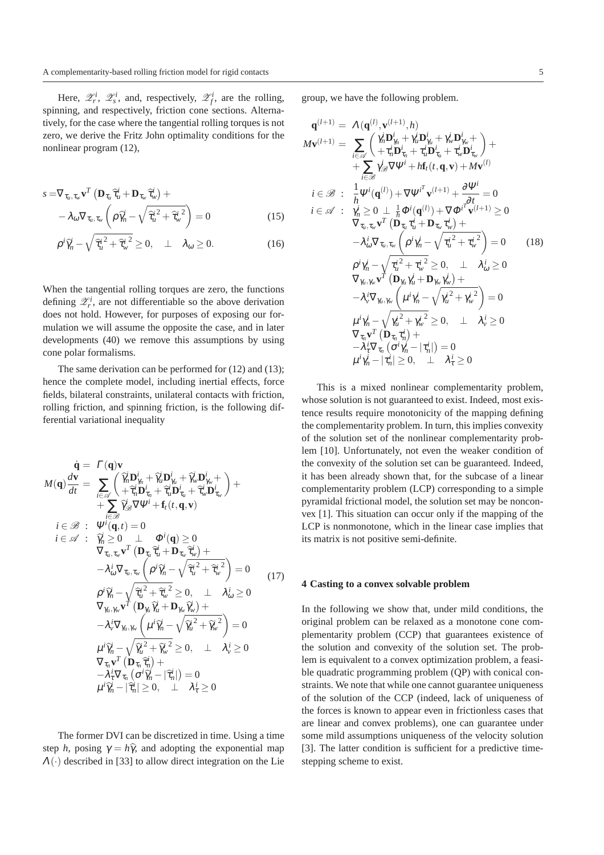Here,  $\mathscr{Z}_r^i$ ,  $\mathscr{Z}_s^i$ , and, respectively,  $\mathscr{Z}_f^i$ , are the rolling, spinning, and respectively, friction cone sections. Alternatively, for the case where the tangential rolling torques is not zero, we derive the Fritz John optimality conditions for the nonlinear program (12),

$$
s = \nabla_{\tau_{u}, \tau_{w}} \mathbf{v}^{T} \left( \mathbf{D}_{\tau_{u}} \hat{\tau}_{u}^{i} + \mathbf{D}_{\tau_{w}} \hat{\tau}_{w}^{i} \right) + - \lambda_{\omega} \nabla_{\tau_{u}, \tau_{w}} \left( \rho \hat{\gamma}_{n}^{i} - \sqrt{\hat{\tau}_{u}^{i^{2}} + \hat{\tau}_{w}^{i^{2}}} \right) = 0
$$
 (15)

$$
-\lambda_{\omega}\nabla_{\tau_{u},\tau_{w}}\left(\rho\hat{\gamma}_{n} - \sqrt{\hat{\tau}_{u}}^{2} + \hat{\tau}_{w}^{1}\right) = 0
$$
\n
$$
\rho^{i}\hat{\gamma}_{n}^{i} - \sqrt{\hat{\tau}_{u}}^{2} + \hat{\tau}_{w}^{i}\hat{\gamma}_{w}^{2} \ge 0, \quad \perp \quad \lambda_{\omega} \ge 0.
$$
\n(16)

When the tangential rolling torques are zero, the functions defining  $\mathcal{Z}_r^i$ , are not differentiable so the above derivation does not hold. However, for purposes of exposing our formulation we will assume the opposite the case, and in later developments (40) we remove this assumptions by using cone polar formalisms.

The same derivation can be performed for (12) and (13); hence the complete model, including inertial effects, force fields, bilateral constraints, unilateral contacts with friction, rolling friction, and spinning friction, is the following differential variational inequality

$$
\dot{\mathbf{q}} = \Gamma(\mathbf{q})\mathbf{v} \nM(\mathbf{q}) \frac{d\mathbf{v}}{dt} = \sum_{i \in \mathscr{A}} \left( \widetilde{\eta}_n^j \mathbf{D}_{\gamma_n}^i + \widetilde{\eta}_u^j \mathbf{D}_{\gamma_u}^i + \widetilde{\eta}_v^j \mathbf{D}_{\gamma_v}^i + \widetilde{\eta}_v^j \mathbf{D}_{\gamma_v}^i + \widetilde{\eta}_v^j \mathbf{D}_{\gamma_v}^i + \widetilde{\eta}_v^j \mathbf{D}_{\gamma_v}^i \right) + \\ + \sum_{i \in \mathscr{B}} \widetilde{\eta}_\mathscr{B}^i \nabla \Psi^i + \mathbf{f}_t(t, \mathbf{q}, \mathbf{v}) \ni \in \mathscr{B} : \Psi^i(\mathbf{q}, t) = 0 \ni \in \mathscr{A} : \widetilde{\eta}_n^i \ge 0 \perp \Phi^i(\mathbf{q}) \ge 0 \n\nabla_{\tau_u, \tau_w} \mathbf{v}^T (\mathbf{D}_{\tau_u} \widetilde{\tau}_u^i + \mathbf{D}_{\tau_w} \widetilde{\tau}_w^i) + \\ - \lambda_w^i \nabla_{\tau_u, \tau_w} \left( \rho^i \widetilde{\eta}_n^i - \sqrt{\widetilde{\tau}_u^i^2 + \widetilde{\tau}_w^i^2} \right) = 0 \n\nabla_{\gamma_u, \gamma_w} \mathbf{v}^T (\mathbf{D}_{\gamma_u} \widetilde{\eta}_u^i + \mathbf{D}_{\gamma_w} \widetilde{\eta}_w^j) + \\ - \lambda_v^i \nabla_{\gamma_u, \gamma_w} \left( \mu^i \widetilde{\eta}_n^i - \sqrt{\widetilde{\eta}_u^i^2 + \widetilde{\eta}_w^i} \right) = 0 \n\nabla_{\gamma_u, \gamma_w} \left( \mu^i \widetilde{\eta}_n^i - \sqrt{\widetilde{\eta}_u^i^2 + \widetilde{\eta}_w^i} \right) = 0 \n\nabla_{\tau_v} \mathbf{v}^T (\mathbf{D}_{\tau_u} \widetilde{\tau}_n^i) + \\ - \lambda_v^i \nabla_{\tau_u} (\sigma^i \widetilde{\eta}_n^i - |\widetilde{\tau}_n^i
$$

The former DVI can be discretized in time. Using a time step *h*, posing  $\gamma = h\hat{\gamma}$ , and adopting the exponential map  $\Lambda(\cdot)$  described in [33] to allow direct integration on the Lie

group, we have the following problem.

$$
\mathbf{q}^{(l+1)} = \Lambda(\mathbf{q}^{(l)}, \mathbf{v}^{(l+1)}, h)
$$
\n
$$
M\mathbf{v}^{(l+1)} = \sum_{i \in \mathcal{A}} \left( \frac{\gamma_n^i \mathbf{D}_{\gamma_n}^i + \gamma_u^j \mathbf{D}_{\gamma_u}^i + \gamma_v^j \mathbf{D}_{\gamma_v}^i + \mathbf{D}_{\tau_w}^i}{+ \tau_n^i \mathbf{D}_{\tau_n}^i + \tau_u^i \mathbf{D}_{\tau_w}^i + \tau_w^i \mathbf{D}_{\tau_w}^i} \right) +
$$
\n
$$
+ \sum_{i \in \mathcal{B}} \gamma_{\mathcal{B}}^i \nabla \Psi^i + h \mathbf{f}_i(t, \mathbf{q}, \mathbf{v}) + M \mathbf{v}^{(l)}
$$
\n
$$
i \in \mathcal{B} : \frac{1}{h} \Psi^i(\mathbf{q}^{(l)}) + \nabla \Psi^{i^T} \mathbf{v}^{(l+1)} + \frac{\partial \Psi^i}{\partial t} = 0
$$
\n
$$
i \in \mathcal{A} : \frac{\gamma_n^i \ge 0 \perp \frac{1}{h} \Phi^i(\mathbf{q}^{(l)}) + \nabla \Phi^{i^T} \Phi^{(l+1)} \ge 0}{\nabla_{\tau_u, \tau_w} \Psi^T(\mathbf{D}_{\tau_u} \tau_u^i + \mathbf{D}_{\tau_w} \tau_w^i) +}
$$
\n
$$
- \lambda_0^i \nabla_{\tau_u, \tau_w} \left( \rho^i \gamma_n^i - \sqrt{\tau_u^i^2 + \tau_w^i^2} \right) = 0 \qquad (18)
$$
\n
$$
\rho^i \gamma_n^i - \sqrt{\tau_u^i^2 + \tau_w^i^2} \ge 0, \qquad \lambda_0^i \ge 0
$$
\n
$$
\nabla_{\gamma_{i, \gamma_w} \mathbf{v}} \Psi^T(\mathbf{D}_{\gamma_u} \gamma_u^i + \mathbf{D}_{\gamma_w} \gamma_w^i) +
$$
\n
$$
- \lambda_v^i \nabla_{\gamma_{u, \gamma_w} \mathbf{v}} \left( \mu^i \gamma_n^i - \sqrt{\gamma_u^i^2 + \gamma_w^i^2} \right) = 0
$$

This is a mixed nonlinear complementarity problem, whose solution is not guaranteed to exist. Indeed, most existence results require monotonicity of the mapping defining the complementarity problem. In turn, this implies convexity of the solution set of the nonlinear complementarity problem [10]. Unfortunately, not even the weaker condition of the convexity of the solution set can be guaranteed. Indeed, it has been already shown that, for the subcase of a linear complementarity problem (LCP) corresponding to a simple pyramidal frictional model, the solution set may be nonconvex [1]. This situation can occur only if the mapping of the LCP is nonmonotone, which in the linear case implies that its matrix is not positive semi-definite.

#### **4 Casting to a convex solvable problem**

In the following we show that, under mild conditions, the original problem can be relaxed as a monotone cone complementarity problem (CCP) that guarantees existence of the solution and convexity of the solution set. The problem is equivalent to a convex optimization problem, a feasible quadratic programming problem (QP) with conical constraints. We note that while one cannot guarantee uniqueness of the solution of the CCP (indeed, lack of uniqueness of the forces is known to appear even in frictionless cases that are linear and convex problems), one can guarantee under some mild assumptions uniqueness of the velocity solution [3]. The latter condition is sufficient for a predictive timestepping scheme to exist.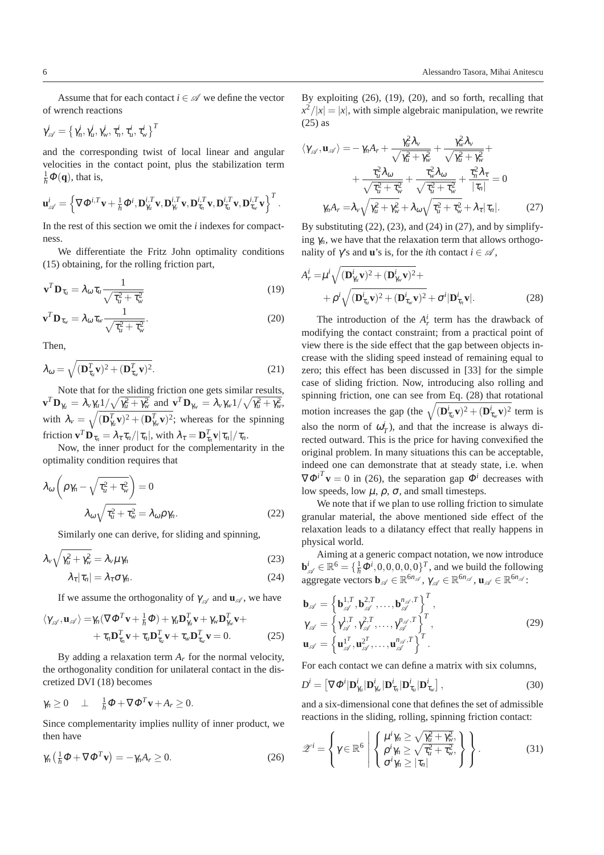Assume that for each contact  $i \in \mathcal{A}$  we define the vector of wrench reactions

$$
\gamma^i_\mathscr{A} = \left\{\gamma^i_n, \gamma^i_u, \gamma^i_w, \tau^i_n, \tau^i_u, \tau^i_w\right\}^T
$$

and the corresponding twist of local linear and angular velocities in the contact point, plus the stabilization term  $\frac{1}{h}\Phi(\mathbf{q})$ , that is,

$$
\mathbf{u}_{\mathscr{A}}^i = \left\{\nabla \Phi^{i,T} \mathbf{v} + \frac{1}{h} \Phi^i, \mathbf{D}_{\gamma_u}^{i,T} \mathbf{v}, \mathbf{D}_{\gamma_v}^{i,T} \mathbf{v}, \mathbf{D}_{\tau_u}^{i,T} \mathbf{v}, \mathbf{D}_{\tau_u}^{i,T} \mathbf{v}, \mathbf{D}_{\tau_w}^{i,T} \mathbf{v}\right\}^T.
$$

In the rest of this section we omit the *i* indexes for compactness.

We differentiate the Fritz John optimality conditions (15) obtaining, for the rolling friction part,

$$
\mathbf{v}^T \mathbf{D}_{\tau_u} = \lambda_\omega \tau_u \frac{1}{\sqrt{\tau_u^2 + \tau_w^2}}
$$
(19)

$$
\mathbf{v}^T \mathbf{D}_{\tau_w} = \lambda_\omega \tau_w \frac{1}{\sqrt{\tau_u^2 + \tau_w^2}}.
$$
 (20)

Then,

$$
\lambda_{\omega} = \sqrt{(\mathbf{D}_{\tau_{u}}^T \mathbf{v})^2 + (\mathbf{D}_{\tau_{w}}^T \mathbf{v})^2}.
$$
 (21)

Note that for the sliding friction one gets similar results,  $\mathbf{v}^T \mathbf{D}_{\gamma_u} = \lambda_v \gamma_u 1/\sqrt{\gamma_u^2 + \gamma_w^2}$  and  $\mathbf{v}^T \mathbf{D}_{\gamma_w} = \lambda_v \gamma_w 1/\sqrt{\gamma_u^2 + \gamma_w^2}$ , with  $\lambda_v = \sqrt{(\mathbf{D}_{\gamma_u}^T \mathbf{v})^2 + (\mathbf{D}_{\gamma_v}^T \mathbf{v})^2}$ ; whereas for the spinning friction  $\mathbf{v}^T \mathbf{D}_{\tau_n} = \lambda_\tau \tau_n / |\tau_n|$ , with  $\lambda_\tau = \mathbf{D}_{\tau_n}^T \mathbf{v} |\tau_n| / \tau_n$ .

Now, the inner product for the complementarity in the optimality condition requires that

$$
\lambda_{\omega} \left( \rho \gamma_n - \sqrt{\tau_u^2 + \tau_w^2} \right) = 0
$$

$$
\lambda_{\omega} \sqrt{\tau_u^2 + \tau_w^2} = \lambda_{\omega} \rho \gamma_n.
$$
 (22)

Similarly one can derive, for sliding and spinning,

$$
\lambda_{\nu}\sqrt{\gamma_{u}^{2}+\gamma_{w}^{2}}=\lambda_{\nu}\mu\gamma_{n}
$$
\n(23)

$$
\lambda_{\tau}|\tau_n| = \lambda_{\tau}\sigma\gamma_n. \tag{24}
$$

If we assume the orthogonality of  $\gamma_{\mathscr{A}}$  and  $\mathbf{u}_{\mathscr{A}}$ , we have

$$
\langle \gamma_{\mathscr{A}}, \mathbf{u}_{\mathscr{A}} \rangle = \gamma_n (\nabla \Phi^T \mathbf{v} + \frac{1}{h} \Phi) + \gamma_u \mathbf{D}_{\gamma_u}^T \mathbf{v} + \gamma_w \mathbf{D}_{\gamma_v}^T \mathbf{v} + + \tau_n \mathbf{D}_{\tau_n}^T \mathbf{v} + \tau_u \mathbf{D}_{\tau_u}^T \mathbf{v} + \tau_w \mathbf{D}_{\tau_w}^T \mathbf{v} = 0.
$$
 (25)

By adding a relaxation term  $A_r$  for the normal velocity, the orthogonality condition for unilateral contact in the discretized DVI (18) becomes

$$
\gamma_n \geq 0 \quad \perp \quad \tfrac{1}{h} \Phi + \nabla \Phi^T \mathbf{v} + A_r \geq 0.
$$

Since complementarity implies nullity of inner product, we then have

$$
\gamma_n\left(\tfrac{1}{h}\Phi + \nabla\Phi^T\mathbf{v}\right) = -\gamma_n A_r \ge 0. \tag{26}
$$

By exploiting (26), (19), (20), and so forth, recalling that  $x^2/|x| = |x|$ , with simple algebraic manipulation, we rewrite (25) as

$$
\langle \gamma_{\mathscr{A}}, \mathbf{u}_{\mathscr{A}} \rangle = -\gamma_n A_r + \frac{\gamma_u^2 \lambda_v}{\sqrt{\gamma_u^2 + \gamma_w^2}} + \frac{\gamma_w^2 \lambda_v}{\sqrt{\gamma_u^2 + \gamma_w^2}} + + \frac{\tau_u^2 \lambda_{\omega}}{\sqrt{\tau_u^2 + \tau_w^2}} + \frac{\tau_w^2 \lambda_{\omega}}{\sqrt{\tau_u^2 + \tau_w^2}} + \frac{\tau_n^2 \lambda_{\tau}}{|\tau_n|} = 0 \gamma_n A_r = \lambda_v \sqrt{\gamma_u^2 + \gamma_w^2} + \lambda_{\omega} \sqrt{\tau_u^2 + \tau_w^2} + \lambda_{\tau} |\tau_n|.
$$
\n(27)

By substituting  $(22)$ ,  $(23)$ , and  $(24)$  in  $(27)$ , and by simplifying  $\gamma_n$ , we have that the relaxation term that allows orthogonality of  $\gamma$ 's and **u**'s is, for the *i*th contact  $i \in \mathcal{A}$ ,

$$
A_r^i = \mu^i \sqrt{(\mathbf{D}_{\gamma_u}^i \mathbf{v})^2 + (\mathbf{D}_{\gamma_w}^i \mathbf{v})^2} +
$$
  
+  $\rho^i \sqrt{(\mathbf{D}_{\tau_u}^i \mathbf{v})^2 + (\mathbf{D}_{\tau_w}^i \mathbf{v})^2 + \sigma^i |\mathbf{D}_{\tau_n}^i \mathbf{v}|}.$  (28)

The introduction of the  $A_r^i$  term has the drawback of modifying the contact constraint; from a practical point of view there is the side effect that the gap between objects increase with the sliding speed instead of remaining equal to zero; this effect has been discussed in [33] for the simple case of sliding friction. Now, introducing also rolling and spinning friction, one can see from Eq. (28) that rotational motion increases the gap (the  $\sqrt{(\mathbf{D}_{\tau_u}^i \mathbf{v})^2 + (\mathbf{D}_{\tau_w}^i \mathbf{v})^2}$  term is also the norm of  $\omega_T^i$ ), and that the increase is always directed outward. This is the price for having convexified the original problem. In many situations this can be acceptable, indeed one can demonstrate that at steady state, i.e. when  $\nabla \Phi^{i}$ **v** = 0 in (26), the separation gap  $\Phi^{i}$  decreases with low speeds, low  $\mu$ ,  $\rho$ ,  $\sigma$ , and small timesteps.

We note that if we plan to use rolling friction to simulate granular material, the above mentioned side effect of the relaxation leads to a dilatancy effect that really happens in physical world.

Aiming at a generic compact notation, we now introduce  $\mathbf{b}_{\mathscr{A}}^i \in \mathbb{R}^6 = \{\frac{1}{h}\Phi^i, 0, 0, 0, 0, 0\}^T$ , and we build the following aggregate vectors  $\mathbf{b}_{\mathscr{A}} \in \mathbb{R}^{6n_{\mathscr{A}}}$ ,  $\gamma_{\mathscr{A}} \in \mathbb{R}^{6n_{\mathscr{A}}}$ ,  $\mathbf{u}_{\mathscr{A}} \in \mathbb{R}^{6n_{\mathscr{A}}}$ :

$$
\mathbf{b}_{\mathscr{A}} = \left\{ \mathbf{b}_{\mathscr{A}}^{1,T}, \mathbf{b}_{\mathscr{A}}^{2,T}, \dots, \mathbf{b}_{\mathscr{A}}^{n_{\mathscr{A}},T} \right\}^{T}, \n\gamma_{\mathscr{A}} = \left\{ \gamma_{\mathscr{A}}^{1,T}, \gamma_{\mathscr{A}}^{2,T}, \dots, \gamma_{\mathscr{A}}^{n_{\mathscr{A}},T} \right\}^{T}, \n\mathbf{u}_{\mathscr{A}} = \left\{ \mathbf{u}_{\mathscr{A}}^{1,T}, \mathbf{u}_{\mathscr{A}}^{2T}, \dots, \mathbf{u}_{\mathscr{A}}^{n_{\mathscr{A}},T} \right\}^{T}.
$$
\n(29)

For each contact we can define a matrix with six columns,

$$
D^{i} = \left[\nabla \Phi^{i} | \mathbf{D}_{\gamma_w}^{i} | \mathbf{D}_{\gamma_w}^{i} | \mathbf{D}_{\tau_n}^{i} | \mathbf{D}_{\tau_w}^{i} | \mathbf{D}_{\tau_w}^{i} \right],
$$
\n(30)

and a six-dimensional cone that defines the set of admissible reactions in the sliding, rolling, spinning friction contact:

$$
\mathscr{Z}^{i} = \left\{ \gamma \in \mathbb{R}^{6} \; \left| \; \begin{Bmatrix} \mu^{i} \gamma_{n} \geq \sqrt{\gamma_{u}^{2} + \gamma_{w}^{2}}, \\ \rho^{i} \gamma_{n} \geq \sqrt{\tau_{u}^{2} + \tau_{w}^{2}}, \\ \sigma^{i} \gamma_{n} \geq |\tau_{n}| \end{Bmatrix} \right. \right\}.
$$
 (31)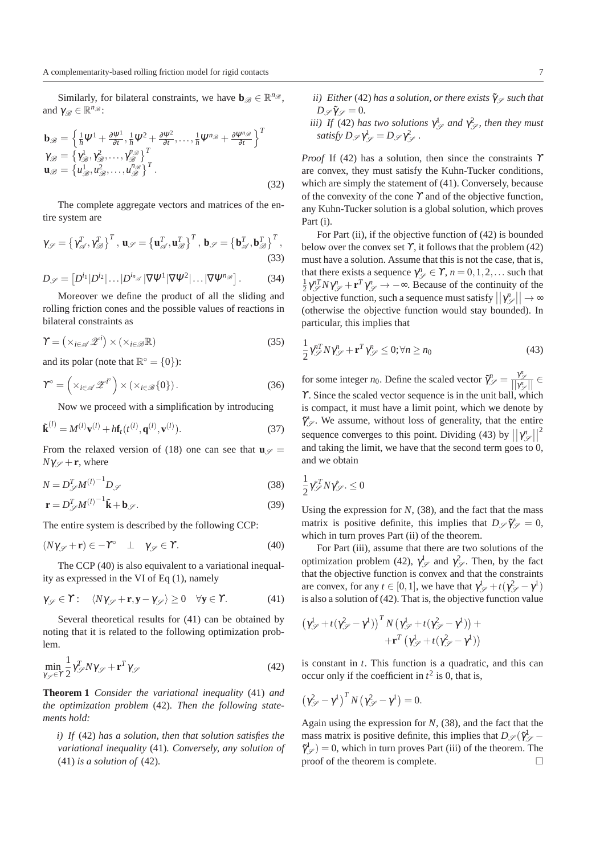Similarly, for bilateral constraints, we have  $\mathbf{b}_{\mathscr{B}} \in \mathbb{R}^{n_{\mathscr{B}}}$ , and  $\gamma_{\mathscr{B}} \in \mathbb{R}^{n_{\mathscr{B}}}$ :

$$
\mathbf{b}_{\mathscr{B}} = \left\{ \frac{1}{h} \Psi^1 + \frac{\partial \Psi^1}{\partial t}, \frac{1}{h} \Psi^2 + \frac{\partial \Psi^2}{\partial t}, \dots, \frac{1}{h} \Psi^{n_{\mathscr{B}}} + \frac{\partial \Psi^{n_{\mathscr{B}}}}{\partial t} \right\}^T
$$
  
\n
$$
\gamma_{\mathscr{B}} = \left\{ \gamma_{\mathscr{B}}^1, \gamma_{\mathscr{B}}^2, \dots, \gamma_{\mathscr{B}}^n \right\}^T
$$
  
\n
$$
\mathbf{u}_{\mathscr{B}} = \left\{ u_{\mathscr{B}}^1, u_{\mathscr{B}}^2, \dots, u_{\mathscr{B}}^n \right\}^T.
$$
\n(32)

The complete aggregate vectors and matrices of the entire system are

$$
\gamma_{\mathscr{S}} = \left\{ \gamma_{\mathscr{A}}^T, \gamma_{\mathscr{B}}^T \right\}^T, \mathbf{u}_{\mathscr{S}} = \left\{ \mathbf{u}_{\mathscr{A}}^T, \mathbf{u}_{\mathscr{B}}^T \right\}^T, \mathbf{b}_{\mathscr{S}} = \left\{ \mathbf{b}_{\mathscr{A}}^T, \mathbf{b}_{\mathscr{B}}^T \right\}^T, \tag{33}
$$

$$
D_{\mathscr{S}} = \left[ D^{i_1} | D^{i_2} | \dots | D^{i_{n_{\mathscr{S}}}} | \nabla \Psi^1 | \nabla \Psi^2 | \dots | \nabla \Psi^{n_{\mathscr{B}}} \right].
$$
 (34)

Moreover we define the product of all the sliding and rolling friction cones and the possible values of reactions in bilateral constraints as

$$
\Upsilon = \left( \times_{i \in \mathscr{A}} \mathscr{Z}^i \right) \times \left( \times_{i \in \mathscr{B}} \mathbb{R} \right) \tag{35}
$$

and its polar (note that  $\mathbb{R}^{\circ} = \{0\}$ ):

$$
\Upsilon^{\circ} = \left( \times_{i \in \mathscr{A}} \mathscr{Z}^{i^{\circ}} \right) \times \left( \times_{i \in \mathscr{B}} \{0\} \right). \tag{36}
$$

Now we proceed with a simplification by introducing

$$
\tilde{\mathbf{k}}^{(l)} = M^{(l)} \mathbf{v}^{(l)} + h \mathbf{f}_t(t^{(l)}, \mathbf{q}^{(l)}, \mathbf{v}^{(l)}).
$$
\n(37)

From the relaxed version of (18) one can see that  $\mathbf{u}_{\mathscr{S}} =$  $N\gamma_{\mathscr{S}} + \mathbf{r}$ , where

$$
N = D_{\mathscr{S}}^T M^{(l)}{}^{-1} D_{\mathscr{S}}
$$
\n(38)

$$
\mathbf{r} = D_{\mathscr{S}}^T M^{(l)}{}^{-1} \tilde{\mathbf{k}} + \mathbf{b}_{\mathscr{S}}.
$$
 (39)

The entire system is described by the following CCP:

$$
(N\gamma_{\mathscr{S}} + \mathbf{r}) \in -\Upsilon^{\circ} \quad \perp \quad \gamma_{\mathscr{S}} \in \Upsilon. \tag{40}
$$

The CCP (40) is also equivalent to a variational inequality as expressed in the VI of Eq (1), namely

$$
\gamma_{\mathscr{S}} \in \Upsilon : \quad \langle N\gamma_{\mathscr{S}} + \mathbf{r}, \mathbf{y} - \gamma_{\mathscr{S}} \rangle \ge 0 \quad \forall \mathbf{y} \in \Upsilon. \tag{41}
$$

Several theoretical results for (41) can be obtained by noting that it is related to the following optimization problem.

$$
\min_{\gamma_{\mathscr{S}} \in \Upsilon} \frac{1}{2} \gamma_{\mathscr{S}}^T N \gamma_{\mathscr{S}} + \mathbf{r}^T \gamma_{\mathscr{S}}
$$
\n(42)

**Theorem 1** *Consider the variational inequality* (41) *and the optimization problem* (42)*. Then the following statements hold:*

*i) If* (42) *has a solution, then that solution satisfies the variational inequality* (41)*. Conversely, any solution of* (41) *is a solution of* (42)*.*

- *ii)* Either (42) has a solution, or there exists  $\tilde{\gamma}$   $\varphi$  such that  $D_{\mathscr{S}} \tilde{\gamma}_{\mathscr{S}} = 0.$
- *iii*) If (42) has two solutions  $\gamma_{\mathscr{S}}^1$  and  $\gamma_{\mathscr{S}}^2$ , then they must *satisfy*  $D_{\mathscr{S}} \gamma_{\mathscr{S}}^1 = D_{\mathscr{S}} \gamma_{\mathscr{S}}^2$ .

*Proof* If (42) has a solution, then since the constraints <sup>ϒ</sup> are convex, they must satisfy the Kuhn-Tucker conditions, which are simply the statement of (41). Conversely, because of the convexity of the cone  $\gamma$  and of the objective function, any Kuhn-Tucker solution is a global solution, which proves Part (i).

For Part (ii), if the objective function of (42) is bounded below over the convex set  $\Upsilon$ , it follows that the problem (42) must have a solution. Assume that this is not the case, that is, that there exists a sequence  $\gamma_{\mathscr{S}}^n \in \Upsilon$ ,  $n = 0, 1, 2, \dots$  such that  $\frac{1}{2}\gamma_{\mathscr{S}}^{nT}N\gamma_{\mathscr{S}}^{n} + \mathbf{r}^{T}\gamma_{\mathscr{S}}^{n} \to -\infty$ . Because of the continuity of the objective function, such a sequence must satisfy  $||\gamma_{\mathscr{S}}^{n}|| \rightarrow \infty$ (otherwise the objective function would stay bounded). In particular, this implies that

$$
\frac{1}{2}\gamma_{\mathscr{S}}^{nT}N\gamma_{\mathscr{S}}^{n} + \mathbf{r}^{T}\gamma_{\mathscr{S}}^{n} \le 0; \forall n \ge n_{0}
$$
\n(43)

for some integer *n*<sub>0</sub>. Define the scaled vector  $\tilde{\gamma}_{\mathscr{S}}^n = \frac{\gamma_{\mathscr{S}}^n}{||\gamma_{\mathscr{S}}^n||} \in$ <sup>ϒ</sup>. Since the scaled vector sequence is in the unit ball, which is compact, it must have a limit point, which we denote by  $\tilde{\gamma}^*_{\mathscr{S}}$ . We assume, without loss of generality, that the entire sequence converges to this point. Dividing (43) by  $||\gamma_{\mathscr{S}}^n||^2$ and taking the limit, we have that the second term goes to 0, and we obtain

$$
\frac{1}{2}\gamma_{\mathscr{S}}^{*T}N\gamma_{\mathscr{S}}^{*}.\leq0
$$

Using the expression for  $N$ , (38), and the fact that the mass matrix is positive definite, this implies that  $D_{\mathscr{S}} \tilde{\gamma}^*_{\mathscr{S}} = 0$ , which in turn proves Part (ii) of the theorem.

For Part (iii), assume that there are two solutions of the optimization problem (42),  $\gamma_{\mathscr{S}}^1$  and  $\gamma_{\mathscr{S}}^2$ . Then, by the fact that the objective function is convex and that the constraints are convex, for any  $t \in [0, 1]$ , we have that  $\gamma_{\mathscr{S}}^1 + t(\gamma_{\mathscr{S}}^2 - \gamma^1)$ is also a solution of (42). That is, the objective function value

$$
\begin{aligned} \left(\gamma^{\rm l}_\mathscr{S} + t(\gamma^2_\mathscr{S}-\gamma^{\rm l})\right)^T N \left(\gamma^{\rm l}_\mathscr{S} + t(\gamma^2_\mathscr{S}-\gamma^{\rm l})\right) + \\ +\mathbf{r}^T \left(\gamma^{\rm l}_\mathscr{S} + t(\gamma^2_\mathscr{S}-\gamma^{\rm l})\right) \end{aligned}
$$

is constant in *t*. This function is a quadratic, and this can occur only if the coefficient in  $t^2$  is 0, that is,

$$
\left(\gamma_{\mathscr{S}}^2-\gamma^1\right)^T N \left(\gamma_{\mathscr{S}}^2-\gamma^1\right)=0.
$$

Again using the expression for *N*, (38), and the fact that the mass matrix is positive definite, this implies that  $D_{\mathscr{S}}(\tilde{\gamma}_{\mathscr{S}}^1 \tilde{\gamma}_{\mathscr{S}}^{1}$  = 0, which in turn proves Part (iii) of the theorem. The proof of the theorem is complete.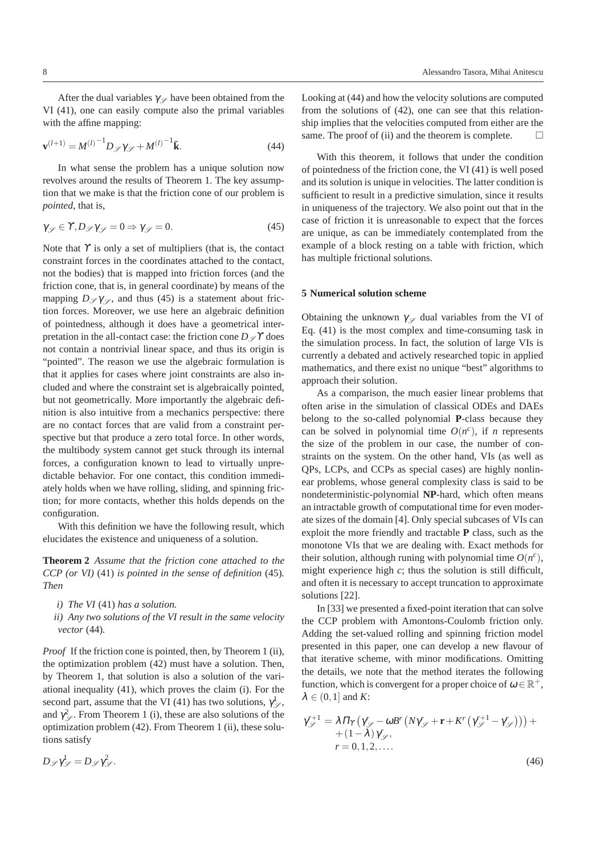After the dual variables  $\gamma_{\mathscr{S}}$  have been obtained from the VI (41), one can easily compute also the primal variables with the affine mapping:

$$
\mathbf{v}^{(l+1)} = M^{(l)}{}^{-1} D_{\mathscr{S}} \gamma_{\mathscr{S}} + M^{(l)}{}^{-1} \tilde{\mathbf{k}}.\tag{44}
$$

In what sense the problem has a unique solution now revolves around the results of Theorem 1. The key assumption that we make is that the friction cone of our problem is *pointed*, that is,

$$
\gamma_{\mathscr{S}} \in \Upsilon, D_{\mathscr{S}} \gamma_{\mathscr{S}} = 0 \Rightarrow \gamma_{\mathscr{S}} = 0. \tag{45}
$$

Note that  $\Upsilon$  is only a set of multipliers (that is, the contact constraint forces in the coordinates attached to the contact, not the bodies) that is mapped into friction forces (and the friction cone, that is, in general coordinate) by means of the mapping  $D \propto \gamma \sim$ , and thus (45) is a statement about friction forces. Moreover, we use here an algebraic definition of pointedness, although it does have a geometrical interpretation in the all-contact case: the friction cone  $D\mathscr{I}$  does not contain a nontrivial linear space, and thus its origin is "pointed". The reason we use the algebraic formulation is that it applies for cases where joint constraints are also included and where the constraint set is algebraically pointed, but not geometrically. More importantly the algebraic definition is also intuitive from a mechanics perspective: there are no contact forces that are valid from a constraint perspective but that produce a zero total force. In other words, the multibody system cannot get stuck through its internal forces, a configuration known to lead to virtually unpredictable behavior. For one contact, this condition immediately holds when we have rolling, sliding, and spinning friction; for more contacts, whether this holds depends on the configuration.

With this definition we have the following result, which elucidates the existence and uniqueness of a solution.

**Theorem 2** *Assume that the friction cone attached to the CCP (or VI)* (41) *is pointed in the sense of definition* (45)*. Then*

- *i) The VI* (41) *has a solution.*
- *ii) Any two solutions of the VI result in the same velocity vector* (44)*.*

*Proof* If the friction cone is pointed, then, by Theorem 1 (ii), the optimization problem (42) must have a solution. Then, by Theorem 1, that solution is also a solution of the variational inequality (41), which proves the claim (i). For the second part, assume that the VI (41) has two solutions,  $\gamma_{\mathscr{S}}^1$ , and  $\gamma^2_{\mathscr{S}}$ . From Theorem 1 (i), these are also solutions of the optimization problem (42). From Theorem 1 (ii), these solutions satisfy

Looking at (44) and how the velocity solutions are computed from the solutions of (42), one can see that this relationship implies that the velocities computed from either are the same. The proof of (ii) and the theorem is complete.  $\Box$ 

With this theorem, it follows that under the condition of pointedness of the friction cone, the VI (41) is well posed and its solution is unique in velocities. The latter condition is sufficient to result in a predictive simulation, since it results in uniqueness of the trajectory. We also point out that in the case of friction it is unreasonable to expect that the forces are unique, as can be immediately contemplated from the example of a block resting on a table with friction, which has multiple frictional solutions.

# **5 Numerical solution scheme**

Obtaining the unknown  $\gamma_{\varphi}$  dual variables from the VI of Eq. (41) is the most complex and time-consuming task in the simulation process. In fact, the solution of large VIs is currently a debated and actively researched topic in applied mathematics, and there exist no unique "best" algorithms to approach their solution.

As a comparison, the much easier linear problems that often arise in the simulation of classical ODEs and DAEs belong to the so-called polynomial **P**-class because they can be solved in polynomial time  $O(n^c)$ , if *n* represents the size of the problem in our case, the number of constraints on the system. On the other hand, VIs (as well as QPs, LCPs, and CCPs as special cases) are highly nonlinear problems, whose general complexity class is said to be nondeterministic-polynomial **NP**-hard, which often means an intractable growth of computational time for even moderate sizes of the domain [4]. Only special subcases of VIs can exploit the more friendly and tractable **P** class, such as the monotone VIs that we are dealing with. Exact methods for their solution, although runing with polynomial time  $O(n^c)$ , might experience high *c*; thus the solution is still difficult, and often it is necessary to accept truncation to approximate solutions [22].

In [33] we presented a fixed-point iteration that can solve the CCP problem with Amontons-Coulomb friction only. Adding the set-valued rolling and spinning friction model presented in this paper, one can develop a new flavour of that iterative scheme, with minor modifications. Omitting the details, we note that the method iterates the following function, which is convergent for a proper choice of  $\omega \in \mathbb{R}^+$ ,  $\lambda \in (0,1]$  and *K*:

$$
\gamma_{\mathscr{S}}^{r+1} = \lambda \prod_{\gamma} \left( \gamma_{\mathscr{S}}^{r} - \omega B^{r} \left( N \gamma_{\mathscr{S}}^{r} + \mathbf{r} + K^{r} \left( \gamma_{\mathscr{S}}^{r+1} - \gamma_{\mathscr{S}}^{r} \right) \right) \right) +
$$
  
+  $(1 - \lambda) \gamma_{\mathscr{S}}^{r},$   
 $r = 0, 1, 2, ....$  (46)

 $D_{\mathscr{S}} \gamma_{\mathscr{S}}^1 = D_{\mathscr{S}} \gamma_{\mathscr{S}}^2.$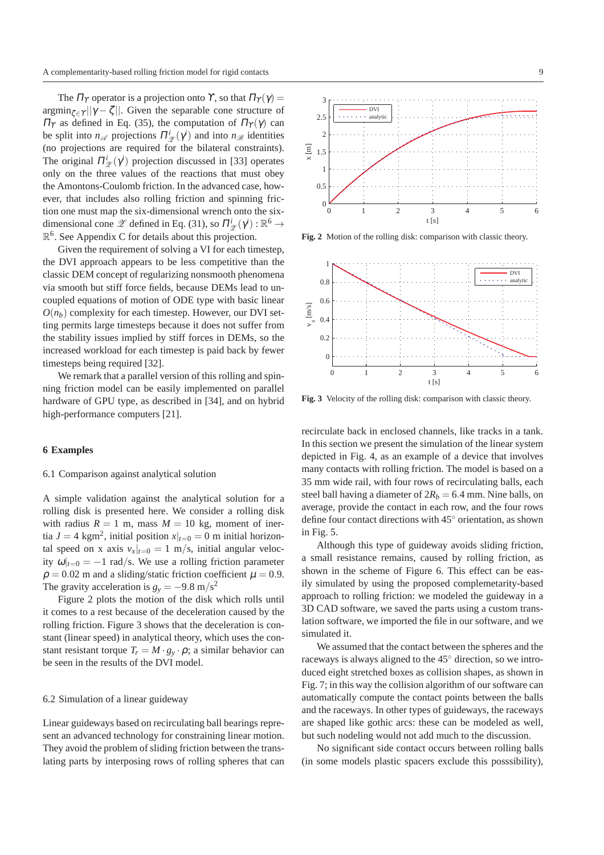The  $\Pi_Y$  operator is a projection onto Y, so that  $\Pi_Y(\gamma) =$  $\argmin_{\zeta \in \Upsilon} ||\gamma - \zeta||$ . Given the separable cone structure of  $\Pi_{\Upsilon}$  as defined in Eq. (35), the computation of  $\Pi_{\Upsilon}(\gamma)$  can be split into  $n_{\mathscr{A}}$  projections  $\Pi_{\mathscr{L}}^{i}(\gamma^{i})$  and into  $n_{\mathscr{B}}$  identities (no projections are required for the bilateral constraints). The original  $\Pi_{\mathscr{Z}}^i(\gamma^i)$  projection discussed in [33] operates only on the three values of the reactions that must obey the Amontons-Coulomb friction. In the advanced case, however, that includes also rolling friction and spinning friction one must map the six-dimensional wrench onto the sixdimensional cone  $\mathscr{Z}$  defined in Eq. (31), so  $\Pi_{\mathscr{Z}}^i(\gamma^i): \mathbb{R}^6 \to$  $\mathbb{R}^6$ . See Appendix C for details about this projection.

Given the requirement of solving a VI for each timestep, the DVI approach appears to be less competitive than the classic DEM concept of regularizing nonsmooth phenomena via smooth but stiff force fields, because DEMs lead to uncoupled equations of motion of ODE type with basic linear  $O(n_b)$  complexity for each timestep. However, our DVI setting permits large timesteps because it does not suffer from the stability issues implied by stiff forces in DEMs, so the increased workload for each timestep is paid back by fewer timesteps being required [32].

We remark that a parallel version of this rolling and spinning friction model can be easily implemented on parallel hardware of GPU type, as described in [34], and on hybrid high-performance computers [21].

# **6 Examples**

## 6.1 Comparison against analytical solution

A simple validation against the analytical solution for a rolling disk is presented here. We consider a rolling disk with radius  $R = 1$  m, mass  $M = 10$  kg, moment of inertia  $J = 4$  kgm<sup>2</sup>, initial position  $x|_{t=0} = 0$  m initial horizontal speed on x axis  $v_x|_{t=0} = 1$  m/s, initial angular velocity  $\omega|_{t=0} = -1$  rad/s. We use a rolling friction parameter  $\rho = 0.02$  m and a sliding/static friction coefficient  $\mu = 0.9$ . The gravity acceleration is  $g_y = -9.8 \text{ m/s}^2$ 

Figure 2 plots the motion of the disk which rolls until it comes to a rest because of the deceleration caused by the rolling friction. Figure 3 shows that the deceleration is constant (linear speed) in analytical theory, which uses the constant resistant torque  $T_r = M \cdot g_y \cdot \rho$ ; a similar behavior can be seen in the results of the DVI model.

# 6.2 Simulation of a linear guideway

Linear guideways based on recirculating ball bearings represent an advanced technology for constraining linear motion. They avoid the problem of sliding friction between the translating parts by interposing rows of rolling spheres that can



**Fig. 2** Motion of the rolling disk: comparison with classic theory.



**Fig. 3** Velocity of the rolling disk: comparison with classic theory.

recirculate back in enclosed channels, like tracks in a tank. In this section we present the simulation of the linear system depicted in Fig. 4, as an example of a device that involves many contacts with rolling friction. The model is based on a 35 mm wide rail, with four rows of recirculating balls, each steel ball having a diameter of  $2R_b = 6.4$  mm. Nine balls, on average, provide the contact in each row, and the four rows define four contact directions with 45◦ orientation, as shown in Fig. 5.

Although this type of guideway avoids sliding friction, a small resistance remains, caused by rolling friction, as shown in the scheme of Figure 6. This effect can be easily simulated by using the proposed complemetarity-based approach to rolling friction: we modeled the guideway in a 3D CAD software, we saved the parts using a custom translation software, we imported the file in our software, and we simulated it.

We assumed that the contact between the spheres and the raceways is always aligned to the 45◦ direction, so we introduced eight stretched boxes as collision shapes, as shown in Fig. 7; in this way the collision algorithm of our software can automatically compute the contact points between the balls and the raceways. In other types of guideways, the raceways are shaped like gothic arcs: these can be modeled as well, but such nodeling would not add much to the discussion.

No significant side contact occurs between rolling balls (in some models plastic spacers exclude this posssibility),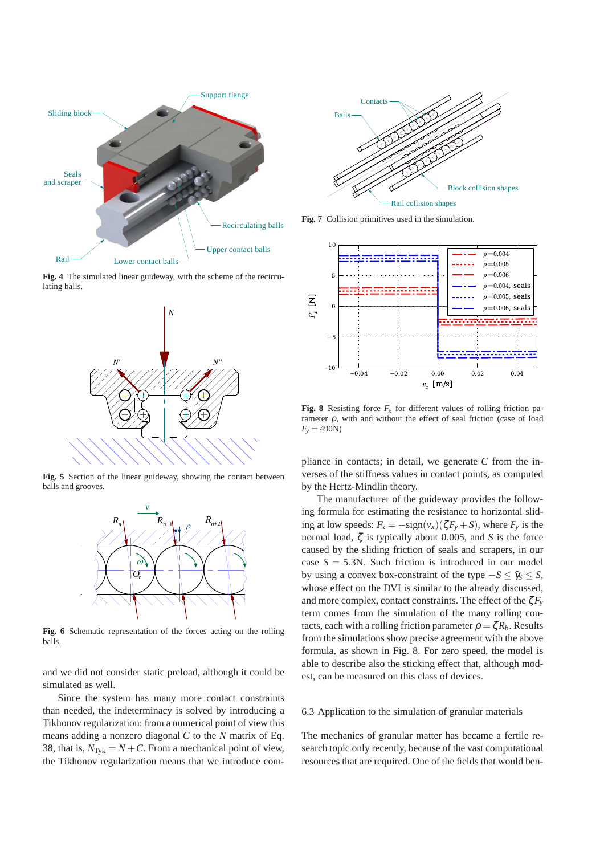

**Fig. 4** The simulated linear guideway, with the scheme of the recirculating balls.



**Fig. 5** Section of the linear guideway, showing the contact between balls and grooves.



**Fig. 6** Schematic representation of the forces acting on the rolling balls.

and we did not consider static preload, although it could be simulated as well.

Since the system has many more contact constraints than needed, the indeterminacy is solved by introducing a Tikhonov regularization: from a numerical point of view this means adding a nonzero diagonal *C* to the *N* matrix of Eq. 38, that is,  $N_{\text{TVk}} = N + C$ . From a mechanical point of view, the Tikhonov regularization means that we introduce com-



**Fig. 7** Collision primitives used in the simulation.



**Fig. 8** Resisting force  $F_r$  for different values of rolling friction parameter  $\rho$ , with and without the effect of seal friction (case of load  $F_v = 490N$ 

pliance in contacts; in detail, we generate *C* from the inverses of the stiffness values in contact points, as computed by the Hertz-Mindlin theory.

The manufacturer of the guideway provides the following formula for estimating the resistance to horizontal sliding at low speeds:  $F_x = -\text{sign}(v_x)(\zeta F_y + S)$ , where  $F_y$  is the normal load, ζ is typically about 0.005, and *S* is the force caused by the sliding friction of seals and scrapers, in our case  $S = 5.3N$ . Such friction is introduced in our model by using a convex box-constraint of the type  $-S \leq \hat{\gamma}_s < S$ , whose effect on the DVI is similar to the already discussed, and more complex, contact constraints. The effect of the  $\zeta F_v$ term comes from the simulation of the many rolling contacts, each with a rolling friction parameter  $\rho = \zeta R_b$ . Results from the simulations show precise agreement with the above formula, as shown in Fig. 8. For zero speed, the model is able to describe also the sticking effect that, although modest, can be measured on this class of devices.

#### 6.3 Application to the simulation of granular materials

The mechanics of granular matter has became a fertile research topic only recently, because of the vast computational resources that are required. One of the fields that would ben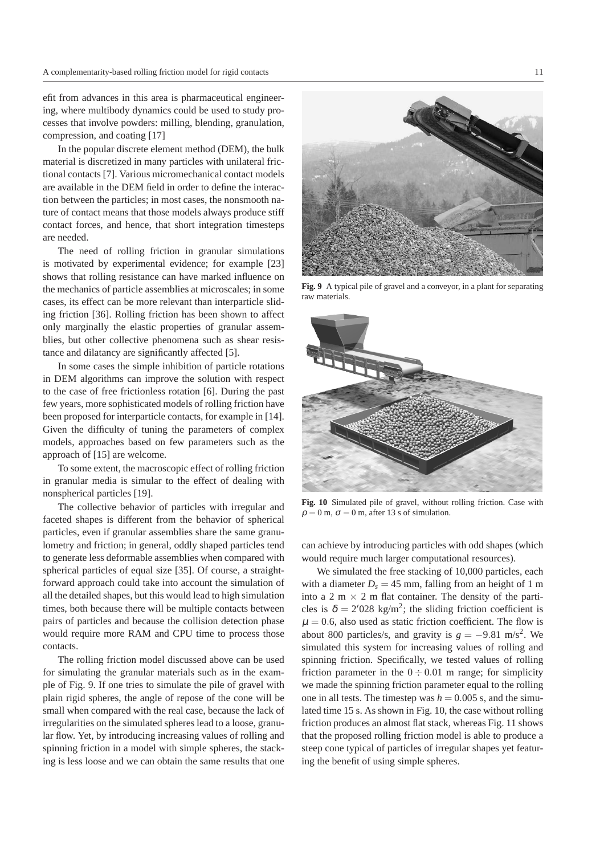efit from advances in this area is pharmaceutical engineering, where multibody dynamics could be used to study processes that involve powders: milling, blending, granulation, compression, and coating [17]

In the popular discrete element method (DEM), the bulk material is discretized in many particles with unilateral frictional contacts [7]. Various micromechanical contact models are available in the DEM field in order to define the interaction between the particles; in most cases, the nonsmooth nature of contact means that those models always produce stiff contact forces, and hence, that short integration timesteps are needed.

The need of rolling friction in granular simulations is motivated by experimental evidence; for example [23] shows that rolling resistance can have marked influence on the mechanics of particle assemblies at microscales; in some cases, its effect can be more relevant than interparticle sliding friction [36]. Rolling friction has been shown to affect only marginally the elastic properties of granular assemblies, but other collective phenomena such as shear resistance and dilatancy are significantly affected [5].

In some cases the simple inhibition of particle rotations in DEM algorithms can improve the solution with respect to the case of free frictionless rotation [6]. During the past few years, more sophisticated models of rolling friction have been proposed for interparticle contacts, for example in [14]. Given the difficulty of tuning the parameters of complex models, approaches based on few parameters such as the approach of [15] are welcome.

To some extent, the macroscopic effect of rolling friction in granular media is simular to the effect of dealing with nonspherical particles [19].

The collective behavior of particles with irregular and faceted shapes is different from the behavior of spherical particles, even if granular assemblies share the same granulometry and friction; in general, oddly shaped particles tend to generate less deformable assemblies when compared with spherical particles of equal size [35]. Of course, a straightforward approach could take into account the simulation of all the detailed shapes, but this would lead to high simulation times, both because there will be multiple contacts between pairs of particles and because the collision detection phase would require more RAM and CPU time to process those contacts.

The rolling friction model discussed above can be used for simulating the granular materials such as in the example of Fig. 9. If one tries to simulate the pile of gravel with plain rigid spheres, the angle of repose of the cone will be small when compared with the real case, because the lack of irregularities on the simulated spheres lead to a loose, granular flow. Yet, by introducing increasing values of rolling and spinning friction in a model with simple spheres, the stacking is less loose and we can obtain the same results that one



**Fig. 9** A typical pile of gravel and a conveyor, in a plant for separating raw materials.

![](_page_10_Picture_10.jpeg)

**Fig. 10** Simulated pile of gravel, without rolling friction. Case with  $\rho = 0$  m,  $\sigma = 0$  m, after 13 s of simulation.

can achieve by introducing particles with odd shapes (which would require much larger computational resources).

We simulated the free stacking of 10,000 particles, each with a diameter  $D_s = 45$  mm, falling from an height of 1 m into a 2 m  $\times$  2 m flat container. The density of the particles is  $\delta = 2'028$  kg/m<sup>2</sup>; the sliding friction coefficient is  $\mu = 0.6$ , also used as static friction coefficient. The flow is about 800 particles/s, and gravity is  $g = -9.81$  m/s<sup>2</sup>. We simulated this system for increasing values of rolling and spinning friction. Specifically, we tested values of rolling friction parameter in the  $0 \div 0.01$  m range; for simplicity we made the spinning friction parameter equal to the rolling one in all tests. The timestep was  $h = 0.005$  s, and the simulated time 15 s. As shown in Fig. 10, the case without rolling friction produces an almost flat stack, whereas Fig. 11 shows that the proposed rolling friction model is able to produce a steep cone typical of particles of irregular shapes yet featuring the benefit of using simple spheres.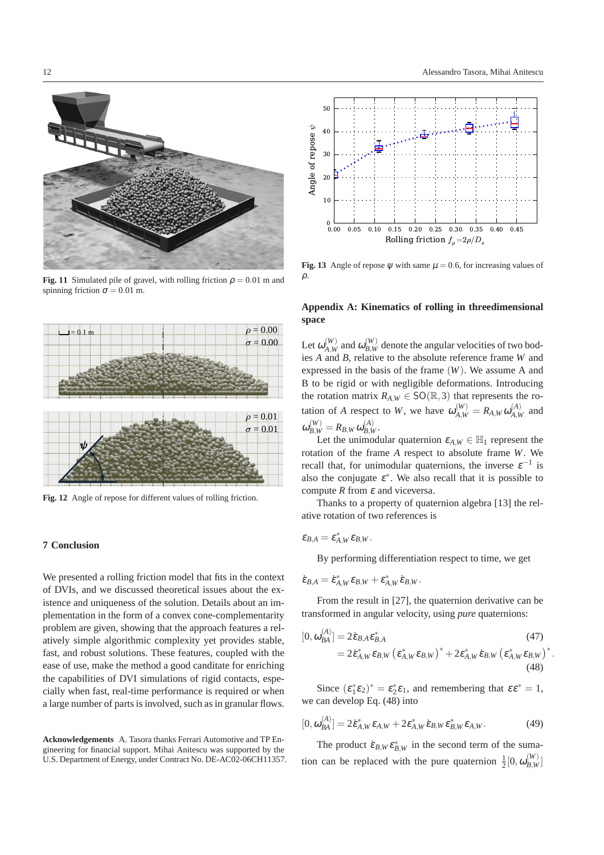![](_page_11_Picture_1.jpeg)

**Fig. 11** Simulated pile of gravel, with rolling friction  $\rho = 0.01$  m and spinning friction  $\sigma = 0.01$  m.

![](_page_11_Figure_3.jpeg)

**Fig. 12** Angle of repose for different values of rolling friction.

# **7 Conclusion**

We presented a rolling friction model that fits in the context of DVIs, and we discussed theoretical issues about the existence and uniqueness of the solution. Details about an implementation in the form of a convex cone-complementarity problem are given, showing that the approach features a relatively simple algorithmic complexity yet provides stable, fast, and robust solutions. These features, coupled with the ease of use, make the method a good canditate for enriching the capabilities of DVI simulations of rigid contacts, especially when fast, real-time performance is required or when a large number of parts is involved, such as in granular flows.

**Acknowledgements** A. Tasora thanks Ferrari Automotive and TP Engineering for financial support. Mihai Anitescu was supported by the U.S. Department of Energy, under Contract No. DE-AC02-06CH11357.

![](_page_11_Figure_8.jpeg)

**Fig. 13** Angle of repose  $\psi$  with same  $\mu = 0.6$ , for increasing values of  $\mathcal{D}$ .

# **Appendix A: Kinematics of rolling in threedimensional space**

Let  $\omega_{_{A~W}}^{(W)}$  $\alpha_{A,W}^{(W)}$  and  $\omega_{B,W}^{(W)}$  denote the angular velocities of two bodies *A* and *B*, relative to the absolute reference frame *W* and expressed in the basis of the frame (*W*). We assume A and B to be rigid or with negligible deformations. Introducing the rotation matrix  $R_{A,W} \in SO(\mathbb{R}, 3)$  that represents the rotation of *A* respect to *W*, we have  $\omega_{A,W}^{(W)} = R_{A,W} \omega_{A,W}^{(A)}$  $A,W$ <sup>*A*</sup> and  $\omega_{B,W}^{(W)} = R_{B,W} \omega_{B,W}^{(A)}.$ 

Let the unimodular quaternion  $\varepsilon_{A,W} \in \mathbb{H}_1$  represent the rotation of the frame *A* respect to absolute frame *W*. We recall that, for unimodular quaternions, the inverse  $\varepsilon^{-1}$  is also the conjugate  $\varepsilon^*$ . We also recall that it is possible to compute  $R$  from  $\varepsilon$  and viceversa.

Thanks to a property of quaternion algebra [13] the relative rotation of two references is

$$
\varepsilon_{B,A}=\varepsilon_{A,W}^*\varepsilon_{B,W}.
$$

By performing differentiation respect to time, we get

$$
\dot{\epsilon}_{B,A}=\dot{\epsilon}_{A,W}^*\epsilon_{B,W}+\epsilon_{A,W}^*\dot{\epsilon}_{B,W}.
$$

From the result in [27], the quaternion derivative can be transformed in angular velocity, using *pure* quaternions:

$$
[0, \omega_{BA}^{(A)}] = 2\dot{\varepsilon}_{B,A} \varepsilon_{B,A}^*
$$
\n
$$
= 2\dot{\varepsilon}_{A,W}^* \varepsilon_{B,W} \left(\varepsilon_{A,W}^* \varepsilon_{B,W}\right)^* + 2\varepsilon_{A,W}^* \dot{\varepsilon}_{B,W} \left(\varepsilon_{A,W}^* \varepsilon_{B,W}\right)^*
$$
\n(47)\n  
\n(48)

.

Since  $(\varepsilon_1^* \varepsilon_2)^* = \varepsilon_2^* \varepsilon_1$ , and remembering that  $\varepsilon \varepsilon^* = 1$ , we can develop Eq. (48) into

$$
[0, \omega_{BA}^{(A)}] = 2\dot{\varepsilon}_{A,W}^* \varepsilon_{A,W} + 2\varepsilon_{A,W}^* \dot{\varepsilon}_{B,W} \varepsilon_{B,W}^* \varepsilon_{A,W}.
$$
 (49)

The product  $\dot{\mathcal{E}}_{B,W} \mathcal{E}_{B,W}^*$  in the second term of the sumation can be replaced with the pure quaternion  $\frac{1}{2}[0, \omega_{B,W}^{(W)}]$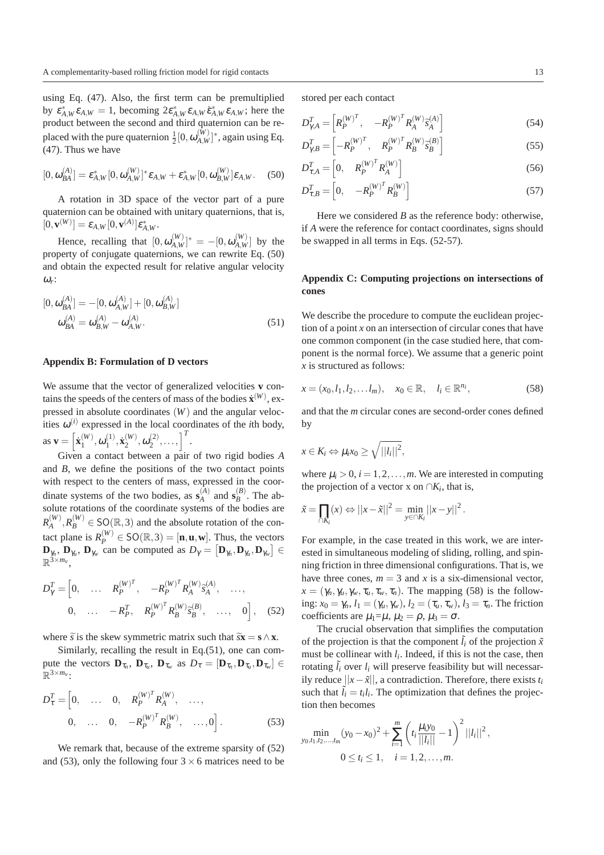using Eq. (47). Also, the first term can be premultiplied by  $\varepsilon_{A,W}^* \varepsilon_{A,W} = 1$ , becoming  $2\varepsilon_{A,W}^* \varepsilon_{A,W} \dot{\varepsilon}_{A,W}^* \varepsilon_{A,W}$ ; here the product between the second and third quaternion can be replaced with the pure quaternion  $\frac{1}{2}[0,\omega_{A,W}^{(W)}]$  ${W \choose A,W}^*$ , again using Eq. (47). Thus we have

$$
[0, \omega_{BA}^{(A)}] = \varepsilon_{A,W}^*[0, \omega_{A,W}^{(W)}]^* \varepsilon_{A,W} + \varepsilon_{A,W}^*[0, \omega_{B,W}^{(W)}] \varepsilon_{A,W}.
$$
 (50)

A rotation in 3D space of the vector part of a pure quaternion can be obtained with unitary quaternions, that is,  $[0, \mathbf{v}^{(W)}] = \pmb{\varepsilon}_{A, W} [0, \mathbf{v}^{(A)}] \pmb{\varepsilon}^*_{A, W}.$ 

Hence, recalling that  $[0, \omega_A^{(W)}]$  $_{A,W}^{(W)}]^{*}=-[0,\pmb{\omega}_{A,W}^{(W)}]$  $\left(\begin{array}{c} W \\ A, W \end{array}\right]$  by the property of conjugate quaternions, we can rewrite Eq. (50) and obtain the expected result for relative angular velocity <sup>ω</sup>*r* :

$$
[0, \omega_{BA}^{(A)}] = -[0, \omega_{A,W}^{(A)}] + [0, \omega_{B,W}^{(A)}]
$$

$$
\omega_{BA}^{(A)} = \omega_{B,W}^{(A)} - \omega_{A,W}^{(A)}.
$$
 (51)

## **Appendix B: Formulation of D vectors**

We assume that the vector of generalized velocities **v** contains the speeds of the centers of mass of the bodies  $\dot{\mathbf{x}}^{(W)}$ , expressed in absolute coordinates (*W*) and the angular velocities  $\omega^{(i)}$  expressed in the local coordinates of the *i*th body, as  $\mathbf{v} = \begin{bmatrix} \dot{\mathbf{x}}_1^{(W)} \end{bmatrix}$  $\mathbf{u}_{1}^{(W)},\boldsymbol{\omega}_{1}^{(1)}$  $\mathbf{x}_1^{(1)}, \mathbf{x}_2^{(W)}$  $\mathbf{z}^{(W)}, \mathbf{\omega}_2^{(2)}$  $\begin{bmatrix} 2 \\ 2 \end{bmatrix}, \ldots, \begin{bmatrix} T \\ . \end{bmatrix}$ 

Given a contact between a pair of two rigid bodies *A* and *B*, we define the positions of the two contact points with respect to the centers of mass, expressed in the coordinate systems of the two bodies, as  $\mathbf{s}_{A}^{(A)}$  $A$ <sup>(A)</sup> and **s**<sup> $(B)$ </sup><sub>B</sub>  $B^{(B)}$ . The absolute rotations of the coordinate systems of the bodies are  $R^{(W)}_{\scriptscriptstyle{A}}$  $R_A^{(W)}, R_B^{(W)} \in SO(\mathbb{R}, 3)$  and the absolute rotation of the contact plane is  $R_P^{(W)} \in SO(\mathbb{R}, 3) = [\mathbf{n}, \mathbf{u}, \mathbf{w}]$ . Thus, the vectors  $\mathbf{D}_{\gamma_n}$ ,  $\mathbf{D}_{\gamma_w}$ ,  $\mathbf{D}_{\gamma_w}$  can be computed as  $D_{\gamma} = [\mathbf{D}_{\gamma_n}, \mathbf{D}_{\gamma_w}, \mathbf{D}_{\gamma_w}] \in$  $\mathbb{R}^{\widetilde{3}\times m_v}$ ,

$$
D_{\gamma}^{T} = \begin{bmatrix} 0, & \dots & R_{P}^{(W)^{T}}, & -R_{P}^{(W)^{T}} R_{A}^{(W)} \tilde{s}_{A}^{(A)}, & \dots, \\ 0, & \dots & -R_{P}^{T}, & R_{P}^{(W)^{T}} R_{B}^{(W)} \tilde{s}_{B}^{(B)}, & \dots, & 0 \end{bmatrix}, \quad (52)
$$

where  $\tilde{s}$  is the skew symmetric matrix such that  $\tilde{s}$ **x** = **s**  $\wedge$ **x**.

Similarly, recalling the result in Eq.(51), one can compute the vectors  $\mathbf{D}_{\tau_n}$ ,  $\mathbf{D}_{\tau_u}$ ,  $\mathbf{D}_{\tau_w}$  as  $D_{\tau} = [\mathbf{D}_{\tau_n}, \mathbf{D}_{\tau_u}, \mathbf{D}_{\tau_w}] \in$  $\mathbb{R}^{3 \times m_v}$ :

$$
D_{\tau}^{T} = \begin{bmatrix} 0, & \dots & 0, & R_{P}^{(W)^{T}} R_{A}^{(W)}, & \dots, \\ 0, & \dots & 0, & -R_{P}^{(W)^{T}} R_{B}^{(W)}, & \dots, 0 \end{bmatrix}.
$$
 (53)

We remark that, because of the extreme sparsity of  $(52)$ and (53), only the following four  $3 \times 6$  matrices need to be

stored per each contact

$$
D_{\gamma A}^T = \begin{bmatrix} R_P^{(W)^T}, & -R_P^{(W)^T} R_A^{(W)} \hat{s}_A^{(A)} \end{bmatrix}
$$
(54)

$$
D_{\gamma,B}^T = \left[ -R_P^{(W)^T}, \quad R_P^{(W)^T} R_B^{(W)} \hat{s}_B^{(B)} \right]
$$
(55)

$$
D_{\tau,A}^T = \begin{bmatrix} 0, & R_P^{(W)^T} R_A^{(W)} \end{bmatrix} \tag{56}
$$

$$
D_{\tau,B}^T = \begin{bmatrix} 0, & -R_P^{(W)^T} R_B^{(W)} \end{bmatrix} \tag{57}
$$

Here we considered *B* as the reference body: otherwise, if *A* were the reference for contact coordinates, signs should be swapped in all terms in Eqs. (52-57).

# **Appendix C: Computing projections on intersections of cones**

We describe the procedure to compute the euclidean projection of a point  $x$  on an intersection of circular cones that have one common component (in the case studied here, that component is the normal force). We assume that a generic point *x* is structured as follows:

$$
x = (x_0, l_1, l_2, \dots l_m), \quad x_0 \in \mathbb{R}, \quad l_i \in \mathbb{R}^{n_i},
$$
 (58)

and that the *m* circular cones are second-order cones defined by

$$
x\in K_i \Leftrightarrow \mu_i x_0 \ge \sqrt{||l_i||^2},
$$

where  $\mu_i > 0$ ,  $i = 1, 2, \dots, m$ . We are interested in computing the projection of a vector x on  $\cap K_i$ , that is,

$$
\tilde{x} = \prod_{\cap K_i} (x) \Leftrightarrow ||x - \tilde{x}||^2 = \min_{y \in \cap K_i} ||x - y||^2.
$$

For example, in the case treated in this work, we are interested in simultaneous modeling of sliding, rolling, and spinning friction in three dimensional configurations. That is, we have three cones,  $m = 3$  and x is a six-dimensional vector,  $x = (\gamma_n, \gamma_u, \gamma_w, \tau_u, \tau_w, \tau_n)$ . The mapping (58) is the following:  $x_0 = \gamma_n$ ,  $l_1 = (\gamma_u, \gamma_w)$ ,  $l_2 = (\tau_u, \tau_w)$ ,  $l_3 = \tau_n$ . The friction coefficients are  $\mu_1 = \mu$ ,  $\mu_2 = \rho$ ,  $\mu_3 = \sigma$ .

The crucial observation that simplifies the computation of the projection is that the component  $\tilde{l}$ *i* of the projection  $\tilde{x}$ must be collinear with  $l_i$ . Indeed, if this is not the case, then rotating  $\tilde{l}_i$  over  $l_i$  will preserve feasibility but will necessarily reduce  $||x−\tilde{x}||$ , a contradiction. Therefore, there exists  $t_i$ such that  $\tilde{l}_i = t_i l_i$ . The optimization that defines the projection then becomes

$$
\min_{y_0, t_1, t_2, \dots, t_m} (y_0 - x_0)^2 + \sum_{i=1}^m \left( t_i \frac{\mu_i y_0}{||l_i||} - 1 \right)^2 ||l_i||^2,
$$
  
 
$$
0 \le t_i \le 1, \quad i = 1, 2, \dots, m.
$$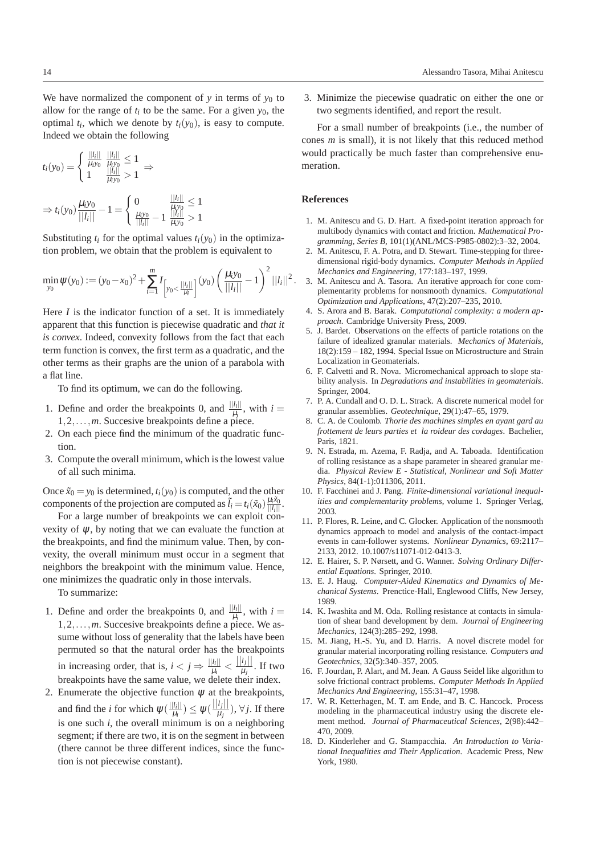We have normalized the component of  $y$  in terms of  $y_0$  to allow for the range of  $t_i$  to be the same. For a given  $y_0$ , the optimal  $t_i$ , which we denote by  $t_i(y_0)$ , is easy to compute. Indeed we obtain the following

$$
t_i(y_0) = \begin{cases} \frac{||l_i||}{\mu_i y_0} & \frac{||l_i||}{\mu_i y_0} \le 1\\ 1 & \frac{||l_i||}{\mu_i y_0} > 1 \end{cases} \Rightarrow
$$
  

$$
\Rightarrow t_i(y_0) \frac{\mu_i y_0}{||l_i||} - 1 = \begin{cases} 0 & \frac{||l_i||}{\mu_i y_0} \le 1\\ \frac{\mu_i y_0}{||l_i||} - 1 & \frac{||l_i||}{\mu_i y_0} > 1 \end{cases}
$$

Substituting  $t_i$  for the optimal values  $t_i(y_0)$  in the optimization problem, we obtain that the problem is equivalent to

$$
\min_{y_0} \psi(y_0) := (y_0 - x_0)^2 + \sum_{i=1}^m I_{\left[y_0 < \frac{||l_i||}{\mu_i}\right]}(y_0) \left(\frac{\mu_i y_0}{||l_i||} - 1\right)^2 ||l_i||^2.
$$

Here *I* is the indicator function of a set. It is immediately apparent that this function is piecewise quadratic and *that it is convex*. Indeed, convexity follows from the fact that each term function is convex, the first term as a quadratic, and the other terms as their graphs are the union of a parabola with a flat line.

To find its optimum, we can do the following.

- 1. Define and order the breakpoints 0, and  $\frac{||l_i||}{||l_i||}$  $\frac{u_{i\parallel}}{\mu_i}$ , with  $i=$ 1,2,...,*m*. Succesive breakpoints define a piece.
- 2. On each piece find the minimum of the quadratic function.
- 3. Compute the overall minimum, which is the lowest value of all such minima.

Once  $\tilde{x}_0 = y_0$  is determined,  $t_i(y_0)$  is computed, and the other components of the projection are computed as  $\tilde{l}_i = t_i(\tilde{x}_0) \frac{\mu_i \tilde{x}_0}{||l_i||}$  $\frac{\mu_i x_0}{||l_i||}$ .

For a large number of breakpoints we can exploit convexity of ψ, by noting that we can evaluate the function at the breakpoints, and find the minimum value. Then, by convexity, the overall minimum must occur in a segment that neighbors the breakpoint with the minimum value. Hence, one minimizes the quadratic only in those intervals.

To summarize:

- 1. Define and order the breakpoints 0, and  $\frac{||l_i||}{||l_i||}$  $\frac{u_{i\parallel}}{\mu_i}$ , with  $i=$ 1,2,...,*m*. Succesive breakpoints define a piece. We assume without loss of generality that the labels have been permuted so that the natural order has the breakpoints in increasing order, that is,  $i < j \Rightarrow \frac{||l_i||}{||l_i||}$  $\frac{|l_i||}{\mu_i} < \frac{||l_j||}{\mu_j}$  $\frac{\nu_{j||}}{\mu_{j}}$ . If two breakpoints have the same value, we delete their index.
- 2. Enumerate the objective function  $\psi$  at the breakpoints, and find the *i* for which  $\psi(\frac{||l_i||}{||l_i||})$  $\frac{|\mathit{l}_i||}{\mu_i}) \leq \psi(\frac{||\mathit{l}_j||}{\mu_j})$  $\frac{\mu_j}{\mu_j}$ ),  $\forall j$ . If there is one such *i*, the overall minimum is on a neighboring segment; if there are two, it is on the segment in between (there cannot be three different indices, since the function is not piecewise constant).

3. Minimize the piecewise quadratic on either the one or two segments identified, and report the result.

For a small number of breakpoints (i.e., the number of cones *m* is small), it is not likely that this reduced method would practically be much faster than comprehensive enumeration.

# **References**

- 1. M. Anitescu and G. D. Hart. A fixed-point iteration approach for multibody dynamics with contact and friction. *Mathematical Programming, Series B*, 101(1)(ANL/MCS-P985-0802):3–32, 2004.
- 2. M. Anitescu, F. A. Potra, and D. Stewart. Time-stepping for threedimensional rigid-body dynamics. *Computer Methods in Applied Mechanics and Engineering*, 177:183–197, 1999.
- 3. M. Anitescu and A. Tasora. An iterative approach for cone complementarity problems for nonsmooth dynamics. *Computational Optimization and Applications*, 47(2):207–235, 2010.
- 4. S. Arora and B. Barak. *Computational complexity: a modern approach*. Cambridge University Press, 2009.
- 5. J. Bardet. Observations on the effects of particle rotations on the failure of idealized granular materials. *Mechanics of Materials*, 18(2):159 – 182, 1994. Special Issue on Microstructure and Strain Localization in Geomaterials.
- 6. F. Calvetti and R. Nova. Micromechanical approach to slope stability analysis. In *Degradations and instabilities in geomaterials*. Springer, 2004.
- 7. P. A. Cundall and O. D. L. Strack. A discrete numerical model for granular assemblies. *Geotechnique*, 29(1):47–65, 1979.
- 8. C. A. de Coulomb. *Thorie des machines simples en ayant gard au frottement de leurs parties et la roideur des cordages*. Bachelier, Paris, 1821.
- 9. N. Estrada, m. Azema, F. Radja, and A. Taboada. Identification of rolling resistance as a shape parameter in sheared granular media. *Physical Review E - Statistical, Nonlinear and Soft Matter Physics*, 84(1-1):011306, 2011.
- 10. F. Facchinei and J. Pang. *Finite-dimensional variational inequalities and complementarity problems*, volume 1. Springer Verlag, 2003.
- 11. P. Flores, R. Leine, and C. Glocker. Application of the nonsmooth dynamics approach to model and analysis of the contact-impact events in cam-follower systems. *Nonlinear Dynamics*, 69:2117– 2133, 2012. 10.1007/s11071-012-0413-3.
- 12. E. Hairer, S. P. Nørsett, and G. Wanner. *Solving Ordinary Differential Equations*. Springer, 2010.
- 13. E. J. Haug. *Computer-Aided Kinematics and Dynamics of Mechanical Systems*. Prenctice-Hall, Englewood Cliffs, New Jersey, 1989.
- 14. K. Iwashita and M. Oda. Rolling resistance at contacts in simulation of shear band development by dem. *Journal of Engineering Mechanics*, 124(3):285–292, 1998.
- 15. M. Jiang, H.-S. Yu, and D. Harris. A novel discrete model for granular material incorporating rolling resistance. *Computers and Geotechnics*, 32(5):340–357, 2005.
- 16. F. Jourdan, P. Alart, and M. Jean. A Gauss Seidel like algorithm to solve frictional contract problems. *Computer Methods In Applied Mechanics And Engineering*, 155:31–47, 1998.
- 17. W. R. Ketterhagen, M. T. am Ende, and B. C. Hancock. Process modeling in the pharmaceutical industry using the discrete element method. *Journal of Pharmaceutical Sciences*, 2(98):442– 470, 2009.
- 18. D. Kinderleher and G. Stampacchia. *An Introduction to Variational Inequalities and Their Application*. Academic Press, New York, 1980.